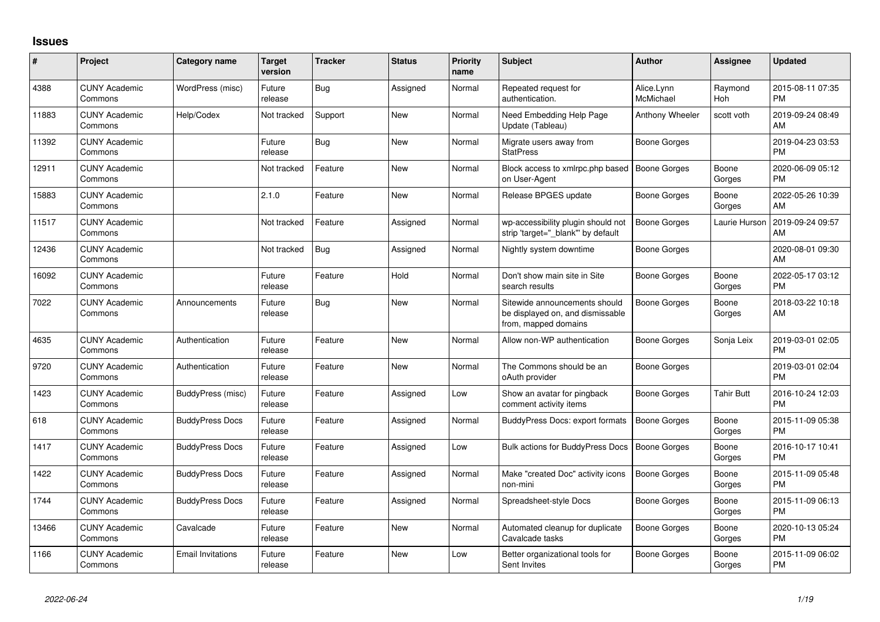## **Issues**

| #     | <b>Project</b>                  | <b>Category name</b>     | <b>Target</b><br>version | <b>Tracker</b> | <b>Status</b> | <b>Priority</b><br>name | <b>Subject</b>                                                                            | Author                  | <b>Assignee</b>       | <b>Updated</b>                |
|-------|---------------------------------|--------------------------|--------------------------|----------------|---------------|-------------------------|-------------------------------------------------------------------------------------------|-------------------------|-----------------------|-------------------------------|
| 4388  | <b>CUNY Academic</b><br>Commons | WordPress (misc)         | Future<br>release        | Bug            | Assigned      | Normal                  | Repeated request for<br>authentication.                                                   | Alice.Lynn<br>McMichael | Raymond<br><b>Hoh</b> | 2015-08-11 07:35<br><b>PM</b> |
| 11883 | <b>CUNY Academic</b><br>Commons | Help/Codex               | Not tracked              | Support        | <b>New</b>    | Normal                  | Need Embedding Help Page<br>Update (Tableau)                                              | Anthony Wheeler         | scott voth            | 2019-09-24 08:49<br>AM        |
| 11392 | <b>CUNY Academic</b><br>Commons |                          | Future<br>release        | Bug            | New           | Normal                  | Migrate users away from<br><b>StatPress</b>                                               | Boone Gorges            |                       | 2019-04-23 03:53<br><b>PM</b> |
| 12911 | <b>CUNY Academic</b><br>Commons |                          | Not tracked              | Feature        | <b>New</b>    | Normal                  | Block access to xmlrpc.php based   Boone Gorges<br>on User-Agent                          |                         | Boone<br>Gorges       | 2020-06-09 05:12<br><b>PM</b> |
| 15883 | <b>CUNY Academic</b><br>Commons |                          | 2.1.0                    | Feature        | <b>New</b>    | Normal                  | Release BPGES update                                                                      | <b>Boone Gorges</b>     | Boone<br>Gorges       | 2022-05-26 10:39<br>AM        |
| 11517 | <b>CUNY Academic</b><br>Commons |                          | Not tracked              | Feature        | Assigned      | Normal                  | wp-accessibility plugin should not<br>strip 'target="_blank" by default                   | Boone Gorges            | Laurie Hurson         | 2019-09-24 09:57<br>AM        |
| 12436 | <b>CUNY Academic</b><br>Commons |                          | Not tracked              | Bug            | Assigned      | Normal                  | Nightly system downtime                                                                   | Boone Gorges            |                       | 2020-08-01 09:30<br>AM        |
| 16092 | <b>CUNY Academic</b><br>Commons |                          | Future<br>release        | Feature        | Hold          | Normal                  | Don't show main site in Site<br>search results                                            | Boone Gorges            | Boone<br>Gorges       | 2022-05-17 03:12<br><b>PM</b> |
| 7022  | <b>CUNY Academic</b><br>Commons | Announcements            | Future<br>release        | Bug            | <b>New</b>    | Normal                  | Sitewide announcements should<br>be displayed on, and dismissable<br>from, mapped domains | <b>Boone Gorges</b>     | Boone<br>Gorges       | 2018-03-22 10:18<br>AM        |
| 4635  | <b>CUNY Academic</b><br>Commons | Authentication           | Future<br>release        | Feature        | <b>New</b>    | Normal                  | Allow non-WP authentication                                                               | <b>Boone Gorges</b>     | Sonja Leix            | 2019-03-01 02:05<br><b>PM</b> |
| 9720  | <b>CUNY Academic</b><br>Commons | Authentication           | Future<br>release        | Feature        | <b>New</b>    | Normal                  | The Commons should be an<br>oAuth provider                                                | <b>Boone Gorges</b>     |                       | 2019-03-01 02:04<br>PM        |
| 1423  | <b>CUNY Academic</b><br>Commons | BuddyPress (misc)        | Future<br>release        | Feature        | Assigned      | Low                     | Show an avatar for pingback<br>comment activity items                                     | Boone Gorges            | Tahir Butt            | 2016-10-24 12:03<br><b>PM</b> |
| 618   | <b>CUNY Academic</b><br>Commons | <b>BuddyPress Docs</b>   | Future<br>release        | Feature        | Assigned      | Normal                  | BuddyPress Docs: export formats                                                           | <b>Boone Gorges</b>     | Boone<br>Gorges       | 2015-11-09 05:38<br><b>PM</b> |
| 1417  | <b>CUNY Academic</b><br>Commons | <b>BuddyPress Docs</b>   | Future<br>release        | Feature        | Assigned      | Low                     | Bulk actions for BuddyPress Docs   Boone Gorges                                           |                         | Boone<br>Gorges       | 2016-10-17 10:41<br><b>PM</b> |
| 1422  | <b>CUNY Academic</b><br>Commons | <b>BuddyPress Docs</b>   | Future<br>release        | Feature        | Assigned      | Normal                  | Make "created Doc" activity icons<br>non-mini                                             | Boone Gorges            | Boone<br>Gorges       | 2015-11-09 05:48<br><b>PM</b> |
| 1744  | <b>CUNY Academic</b><br>Commons | <b>BuddyPress Docs</b>   | Future<br>release        | Feature        | Assigned      | Normal                  | Spreadsheet-style Docs                                                                    | Boone Gorges            | Boone<br>Gorges       | 2015-11-09 06:13<br><b>PM</b> |
| 13466 | <b>CUNY Academic</b><br>Commons | Cavalcade                | Future<br>release        | Feature        | <b>New</b>    | Normal                  | Automated cleanup for duplicate<br>Cavalcade tasks                                        | <b>Boone Gorges</b>     | Boone<br>Gorges       | 2020-10-13 05:24<br><b>PM</b> |
| 1166  | <b>CUNY Academic</b><br>Commons | <b>Email Invitations</b> | Future<br>release        | Feature        | <b>New</b>    | Low                     | Better organizational tools for<br>Sent Invites                                           | Boone Gorges            | Boone<br>Gorges       | 2015-11-09 06:02<br>PM        |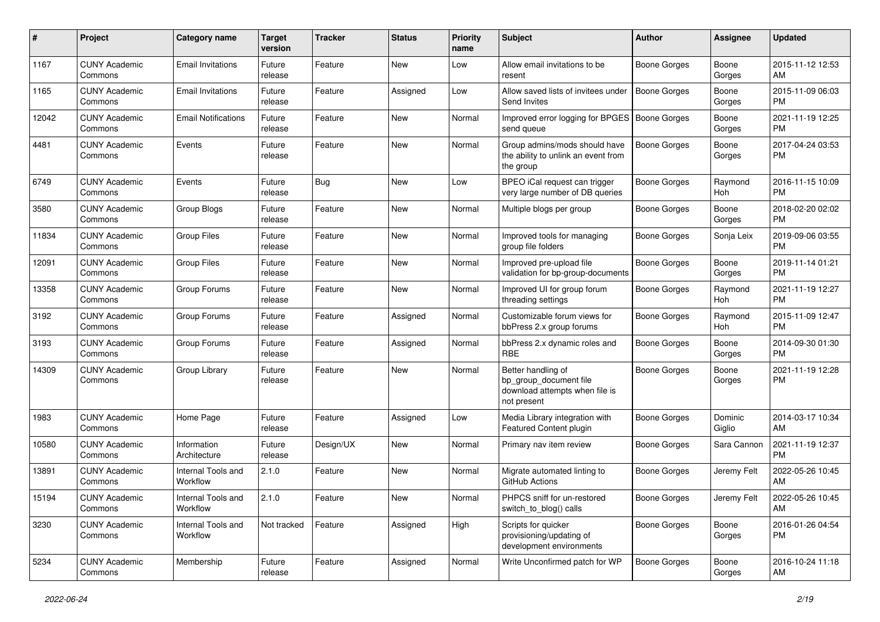| #     | Project                         | <b>Category name</b>           | <b>Target</b><br>version | <b>Tracker</b> | <b>Status</b> | <b>Priority</b><br>name | <b>Subject</b>                                                                                | Author              | <b>Assignee</b>   | <b>Updated</b>                |
|-------|---------------------------------|--------------------------------|--------------------------|----------------|---------------|-------------------------|-----------------------------------------------------------------------------------------------|---------------------|-------------------|-------------------------------|
| 1167  | <b>CUNY Academic</b><br>Commons | <b>Email Invitations</b>       | Future<br>release        | Feature        | <b>New</b>    | Low                     | Allow email invitations to be<br>resent                                                       | <b>Boone Gorges</b> | Boone<br>Gorges   | 2015-11-12 12:53<br>AM        |
| 1165  | <b>CUNY Academic</b><br>Commons | <b>Email Invitations</b>       | Future<br>release        | Feature        | Assigned      | Low                     | Allow saved lists of invitees under<br>Send Invites                                           | <b>Boone Gorges</b> | Boone<br>Gorges   | 2015-11-09 06:03<br><b>PM</b> |
| 12042 | <b>CUNY Academic</b><br>Commons | <b>Email Notifications</b>     | Future<br>release        | Feature        | New           | Normal                  | Improved error logging for BPGES<br>send queue                                                | <b>Boone Gorges</b> | Boone<br>Gorges   | 2021-11-19 12:25<br><b>PM</b> |
| 4481  | <b>CUNY Academic</b><br>Commons | Events                         | Future<br>release        | Feature        | <b>New</b>    | Normal                  | Group admins/mods should have<br>the ability to unlink an event from<br>the group             | Boone Gorges        | Boone<br>Gorges   | 2017-04-24 03:53<br><b>PM</b> |
| 6749  | <b>CUNY Academic</b><br>Commons | Events                         | Future<br>release        | Bug            | <b>New</b>    | Low                     | BPEO iCal request can trigger<br>very large number of DB queries                              | <b>Boone Gorges</b> | Raymond<br>Hoh    | 2016-11-15 10:09<br><b>PM</b> |
| 3580  | <b>CUNY Academic</b><br>Commons | Group Blogs                    | Future<br>release        | Feature        | New           | Normal                  | Multiple blogs per group                                                                      | Boone Gorges        | Boone<br>Gorges   | 2018-02-20 02:02<br><b>PM</b> |
| 11834 | <b>CUNY Academic</b><br>Commons | Group Files                    | Future<br>release        | Feature        | New           | Normal                  | Improved tools for managing<br>group file folders                                             | <b>Boone Gorges</b> | Sonja Leix        | 2019-09-06 03:55<br><b>PM</b> |
| 12091 | <b>CUNY Academic</b><br>Commons | Group Files                    | Future<br>release        | Feature        | New           | Normal                  | Improved pre-upload file<br>validation for bp-group-documents                                 | <b>Boone Gorges</b> | Boone<br>Gorges   | 2019-11-14 01:21<br><b>PM</b> |
| 13358 | <b>CUNY Academic</b><br>Commons | Group Forums                   | Future<br>release        | Feature        | <b>New</b>    | Normal                  | Improved UI for group forum<br>threading settings                                             | <b>Boone Gorges</b> | Raymond<br>Hoh    | 2021-11-19 12:27<br><b>PM</b> |
| 3192  | <b>CUNY Academic</b><br>Commons | Group Forums                   | Future<br>release        | Feature        | Assigned      | Normal                  | Customizable forum views for<br>bbPress 2.x group forums                                      | <b>Boone Gorges</b> | Raymond<br>Hoh    | 2015-11-09 12:47<br><b>PM</b> |
| 3193  | <b>CUNY Academic</b><br>Commons | Group Forums                   | Future<br>release        | Feature        | Assigned      | Normal                  | bbPress 2.x dynamic roles and<br><b>RBE</b>                                                   | <b>Boone Gorges</b> | Boone<br>Gorges   | 2014-09-30 01:30<br><b>PM</b> |
| 14309 | <b>CUNY Academic</b><br>Commons | Group Library                  | Future<br>release        | Feature        | <b>New</b>    | Normal                  | Better handling of<br>bp_group_document file<br>download attempts when file is<br>not present | Boone Gorges        | Boone<br>Gorges   | 2021-11-19 12:28<br><b>PM</b> |
| 1983  | <b>CUNY Academic</b><br>Commons | Home Page                      | Future<br>release        | Feature        | Assigned      | Low                     | Media Library integration with<br>Featured Content plugin                                     | <b>Boone Gorges</b> | Dominic<br>Giglio | 2014-03-17 10:34<br>AM        |
| 10580 | <b>CUNY Academic</b><br>Commons | Information<br>Architecture    | Future<br>release        | Design/UX      | <b>New</b>    | Normal                  | Primary nav item review                                                                       | Boone Gorges        | Sara Cannon       | 2021-11-19 12:37<br><b>PM</b> |
| 13891 | <b>CUNY Academic</b><br>Commons | Internal Tools and<br>Workflow | 2.1.0                    | Feature        | <b>New</b>    | Normal                  | Migrate automated linting to<br>GitHub Actions                                                | Boone Gorges        | Jeremy Felt       | 2022-05-26 10:45<br>AM        |
| 15194 | <b>CUNY Academic</b><br>Commons | Internal Tools and<br>Workflow | 2.1.0                    | Feature        | New           | Normal                  | PHPCS sniff for un-restored<br>switch to blog() calls                                         | Boone Gorges        | Jeremy Felt       | 2022-05-26 10:45<br>AM        |
| 3230  | <b>CUNY Academic</b><br>Commons | Internal Tools and<br>Workflow | Not tracked              | Feature        | Assigned      | High                    | Scripts for quicker<br>provisioning/updating of<br>development environments                   | Boone Gorges        | Boone<br>Gorges   | 2016-01-26 04:54<br><b>PM</b> |
| 5234  | <b>CUNY Academic</b><br>Commons | Membership                     | Future<br>release        | Feature        | Assigned      | Normal                  | Write Unconfirmed patch for WP                                                                | Boone Gorges        | Boone<br>Gorges   | 2016-10-24 11:18<br>AM        |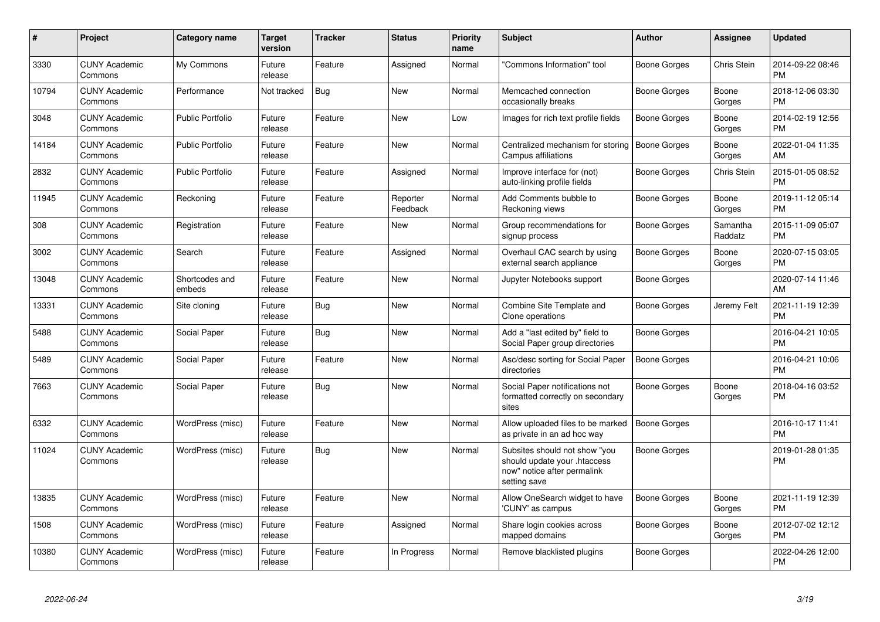| #     | Project                         | <b>Category name</b>     | <b>Target</b><br>version | <b>Tracker</b> | <b>Status</b>        | <b>Priority</b><br>name | <b>Subject</b>                                                                                               | <b>Author</b>       | <b>Assignee</b>     | <b>Updated</b>                |
|-------|---------------------------------|--------------------------|--------------------------|----------------|----------------------|-------------------------|--------------------------------------------------------------------------------------------------------------|---------------------|---------------------|-------------------------------|
| 3330  | <b>CUNY Academic</b><br>Commons | My Commons               | Future<br>release        | Feature        | Assigned             | Normal                  | "Commons Information" tool                                                                                   | Boone Gorges        | Chris Stein         | 2014-09-22 08:46<br><b>PM</b> |
| 10794 | <b>CUNY Academic</b><br>Commons | Performance              | Not tracked              | Bug            | <b>New</b>           | Normal                  | Memcached connection<br>occasionally breaks                                                                  | Boone Gorges        | Boone<br>Gorges     | 2018-12-06 03:30<br><b>PM</b> |
| 3048  | <b>CUNY Academic</b><br>Commons | <b>Public Portfolio</b>  | Future<br>release        | Feature        | <b>New</b>           | Low                     | Images for rich text profile fields                                                                          | Boone Gorges        | Boone<br>Gorges     | 2014-02-19 12:56<br><b>PM</b> |
| 14184 | <b>CUNY Academic</b><br>Commons | <b>Public Portfolio</b>  | Future<br>release        | Feature        | <b>New</b>           | Normal                  | Centralized mechanism for storing<br>Campus affiliations                                                     | <b>Boone Gorges</b> | Boone<br>Gorges     | 2022-01-04 11:35<br>AM        |
| 2832  | <b>CUNY Academic</b><br>Commons | <b>Public Portfolio</b>  | Future<br>release        | Feature        | Assigned             | Normal                  | Improve interface for (not)<br>auto-linking profile fields                                                   | Boone Gorges        | Chris Stein         | 2015-01-05 08:52<br><b>PM</b> |
| 11945 | <b>CUNY Academic</b><br>Commons | Reckoning                | Future<br>release        | Feature        | Reporter<br>Feedback | Normal                  | Add Comments bubble to<br>Reckoning views                                                                    | Boone Gorges        | Boone<br>Gorges     | 2019-11-12 05:14<br><b>PM</b> |
| 308   | <b>CUNY Academic</b><br>Commons | Registration             | Future<br>release        | Feature        | <b>New</b>           | Normal                  | Group recommendations for<br>signup process                                                                  | Boone Gorges        | Samantha<br>Raddatz | 2015-11-09 05:07<br><b>PM</b> |
| 3002  | <b>CUNY Academic</b><br>Commons | Search                   | Future<br>release        | Feature        | Assigned             | Normal                  | Overhaul CAC search by using<br>external search appliance                                                    | Boone Gorges        | Boone<br>Gorges     | 2020-07-15 03:05<br><b>PM</b> |
| 13048 | <b>CUNY Academic</b><br>Commons | Shortcodes and<br>embeds | Future<br>release        | Feature        | <b>New</b>           | Normal                  | Jupyter Notebooks support                                                                                    | Boone Gorges        |                     | 2020-07-14 11:46<br>AM        |
| 13331 | <b>CUNY Academic</b><br>Commons | Site cloning             | Future<br>release        | Bug            | New                  | Normal                  | Combine Site Template and<br>Clone operations                                                                | Boone Gorges        | Jeremy Felt         | 2021-11-19 12:39<br><b>PM</b> |
| 5488  | <b>CUNY Academic</b><br>Commons | Social Paper             | Future<br>release        | <b>Bug</b>     | New                  | Normal                  | Add a "last edited by" field to<br>Social Paper group directories                                            | Boone Gorges        |                     | 2016-04-21 10:05<br><b>PM</b> |
| 5489  | <b>CUNY Academic</b><br>Commons | Social Paper             | Future<br>release        | Feature        | New                  | Normal                  | Asc/desc sorting for Social Paper<br>directories                                                             | <b>Boone Gorges</b> |                     | 2016-04-21 10:06<br><b>PM</b> |
| 7663  | <b>CUNY Academic</b><br>Commons | Social Paper             | Future<br>release        | Bug            | <b>New</b>           | Normal                  | Social Paper notifications not<br>formatted correctly on secondary<br>sites                                  | Boone Gorges        | Boone<br>Gorges     | 2018-04-16 03:52<br><b>PM</b> |
| 6332  | <b>CUNY Academic</b><br>Commons | WordPress (misc)         | Future<br>release        | Feature        | <b>New</b>           | Normal                  | Allow uploaded files to be marked<br>as private in an ad hoc way                                             | Boone Gorges        |                     | 2016-10-17 11:41<br><b>PM</b> |
| 11024 | <b>CUNY Academic</b><br>Commons | WordPress (misc)         | Future<br>release        | <b>Bug</b>     | <b>New</b>           | Normal                  | Subsites should not show "you<br>should update your .htaccess<br>now" notice after permalink<br>setting save | Boone Gorges        |                     | 2019-01-28 01:35<br><b>PM</b> |
| 13835 | <b>CUNY Academic</b><br>Commons | WordPress (misc)         | Future<br>release        | Feature        | <b>New</b>           | Normal                  | Allow OneSearch widget to have<br>'CUNY' as campus                                                           | <b>Boone Gorges</b> | Boone<br>Gorges     | 2021-11-19 12:39<br><b>PM</b> |
| 1508  | <b>CUNY Academic</b><br>Commons | WordPress (misc)         | Future<br>release        | Feature        | Assigned             | Normal                  | Share login cookies across<br>mapped domains                                                                 | Boone Gorges        | Boone<br>Gorges     | 2012-07-02 12:12<br><b>PM</b> |
| 10380 | <b>CUNY Academic</b><br>Commons | WordPress (misc)         | Future<br>release        | Feature        | In Progress          | Normal                  | Remove blacklisted plugins                                                                                   | Boone Gorges        |                     | 2022-04-26 12:00<br><b>PM</b> |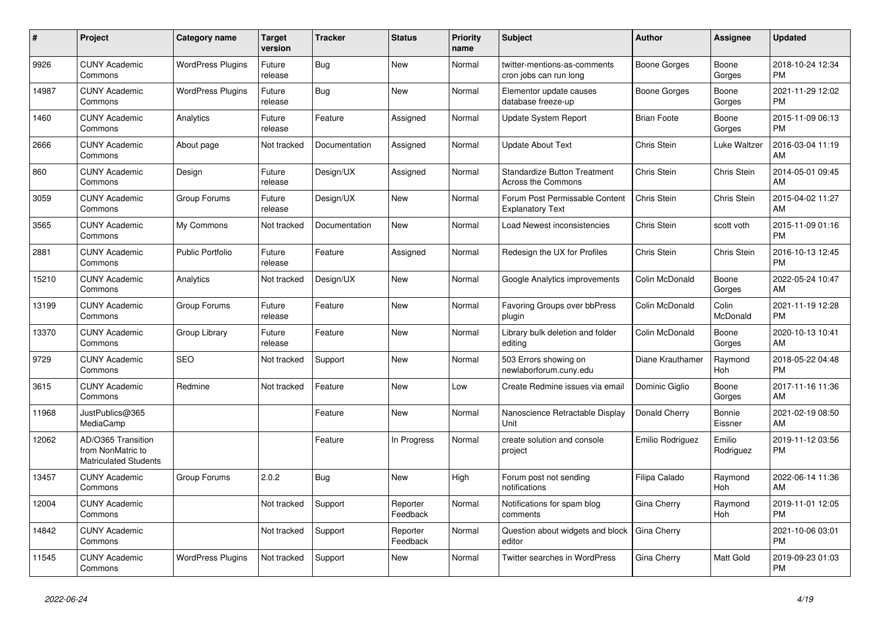| $\#$  | <b>Project</b>                                                          | <b>Category name</b>     | <b>Target</b><br>version | <b>Tracker</b> | <b>Status</b>        | <b>Priority</b><br>name | <b>Subject</b>                                                   | <b>Author</b>      | <b>Assignee</b>       | <b>Updated</b>                |
|-------|-------------------------------------------------------------------------|--------------------------|--------------------------|----------------|----------------------|-------------------------|------------------------------------------------------------------|--------------------|-----------------------|-------------------------------|
| 9926  | <b>CUNY Academic</b><br>Commons                                         | <b>WordPress Plugins</b> | Future<br>release        | Bug            | <b>New</b>           | Normal                  | twitter-mentions-as-comments<br>cron jobs can run long           | Boone Gorges       | Boone<br>Gorges       | 2018-10-24 12:34<br><b>PM</b> |
| 14987 | <b>CUNY Academic</b><br>Commons                                         | <b>WordPress Plugins</b> | Future<br>release        | Bug            | <b>New</b>           | Normal                  | Elementor update causes<br>database freeze-up                    | Boone Gorges       | Boone<br>Gorges       | 2021-11-29 12:02<br><b>PM</b> |
| 1460  | <b>CUNY Academic</b><br>Commons                                         | Analytics                | Future<br>release        | Feature        | Assigned             | Normal                  | Update System Report                                             | <b>Brian Foote</b> | Boone<br>Gorges       | 2015-11-09 06:13<br><b>PM</b> |
| 2666  | <b>CUNY Academic</b><br>Commons                                         | About page               | Not tracked              | Documentation  | Assigned             | Normal                  | <b>Update About Text</b>                                         | Chris Stein        | Luke Waltzer          | 2016-03-04 11:19<br>AM        |
| 860   | <b>CUNY Academic</b><br>Commons                                         | Design                   | Future<br>release        | Design/UX      | Assigned             | Normal                  | <b>Standardize Button Treatment</b><br><b>Across the Commons</b> | Chris Stein        | Chris Stein           | 2014-05-01 09:45<br>AM        |
| 3059  | <b>CUNY Academic</b><br>Commons                                         | Group Forums             | Future<br>release        | Design/UX      | New                  | Normal                  | Forum Post Permissable Content<br><b>Explanatory Text</b>        | Chris Stein        | Chris Stein           | 2015-04-02 11:27<br>AM        |
| 3565  | <b>CUNY Academic</b><br>Commons                                         | My Commons               | Not tracked              | Documentation  | <b>New</b>           | Normal                  | Load Newest inconsistencies                                      | Chris Stein        | scott voth            | 2015-11-09 01:16<br><b>PM</b> |
| 2881  | <b>CUNY Academic</b><br>Commons                                         | <b>Public Portfolio</b>  | Future<br>release        | Feature        | Assigned             | Normal                  | Redesign the UX for Profiles                                     | Chris Stein        | Chris Stein           | 2016-10-13 12:45<br><b>PM</b> |
| 15210 | <b>CUNY Academic</b><br>Commons                                         | Analytics                | Not tracked              | Design/UX      | <b>New</b>           | Normal                  | Google Analytics improvements                                    | Colin McDonald     | Boone<br>Gorges       | 2022-05-24 10:47<br>AM        |
| 13199 | <b>CUNY Academic</b><br>Commons                                         | Group Forums             | Future<br>release        | Feature        | <b>New</b>           | Normal                  | Favoring Groups over bbPress<br>plugin                           | Colin McDonald     | Colin<br>McDonald     | 2021-11-19 12:28<br><b>PM</b> |
| 13370 | <b>CUNY Academic</b><br>Commons                                         | Group Library            | Future<br>release        | Feature        | <b>New</b>           | Normal                  | Library bulk deletion and folder<br>editing                      | Colin McDonald     | Boone<br>Gorges       | 2020-10-13 10:41<br>AM        |
| 9729  | <b>CUNY Academic</b><br>Commons                                         | <b>SEO</b>               | Not tracked              | Support        | <b>New</b>           | Normal                  | 503 Errors showing on<br>newlaborforum.cuny.edu                  | Diane Krauthamer   | Raymond<br>Hoh        | 2018-05-22 04:48<br><b>PM</b> |
| 3615  | <b>CUNY Academic</b><br>Commons                                         | Redmine                  | Not tracked              | Feature        | <b>New</b>           | Low                     | Create Redmine issues via email                                  | Dominic Giglio     | Boone<br>Gorges       | 2017-11-16 11:36<br>AM        |
| 11968 | JustPublics@365<br>MediaCamp                                            |                          |                          | Feature        | <b>New</b>           | Normal                  | Nanoscience Retractable Display<br>Unit                          | Donald Cherry      | Bonnie<br>Eissner     | 2021-02-19 08:50<br>AM        |
| 12062 | AD/O365 Transition<br>from NonMatric to<br><b>Matriculated Students</b> |                          |                          | Feature        | In Progress          | Normal                  | create solution and console<br>project                           | Emilio Rodriguez   | Emilio<br>Rodriguez   | 2019-11-12 03:56<br><b>PM</b> |
| 13457 | <b>CUNY Academic</b><br>Commons                                         | Group Forums             | 2.0.2                    | <b>Bug</b>     | <b>New</b>           | High                    | Forum post not sending<br>notifications                          | Filipa Calado      | Raymond<br>Hoh        | 2022-06-14 11:36<br>AM        |
| 12004 | <b>CUNY Academic</b><br>Commons                                         |                          | Not tracked              | Support        | Reporter<br>Feedback | Normal                  | Notifications for spam blog<br>comments                          | Gina Cherry        | Raymond<br><b>Hoh</b> | 2019-11-01 12:05<br><b>PM</b> |
| 14842 | <b>CUNY Academic</b><br>Commons                                         |                          | Not tracked              | Support        | Reporter<br>Feedback | Normal                  | Question about widgets and block<br>editor                       | Gina Cherry        |                       | 2021-10-06 03:01<br><b>PM</b> |
| 11545 | <b>CUNY Academic</b><br>Commons                                         | <b>WordPress Plugins</b> | Not tracked              | Support        | <b>New</b>           | Normal                  | <b>Twitter searches in WordPress</b>                             | Gina Cherry        | Matt Gold             | 2019-09-23 01:03<br><b>PM</b> |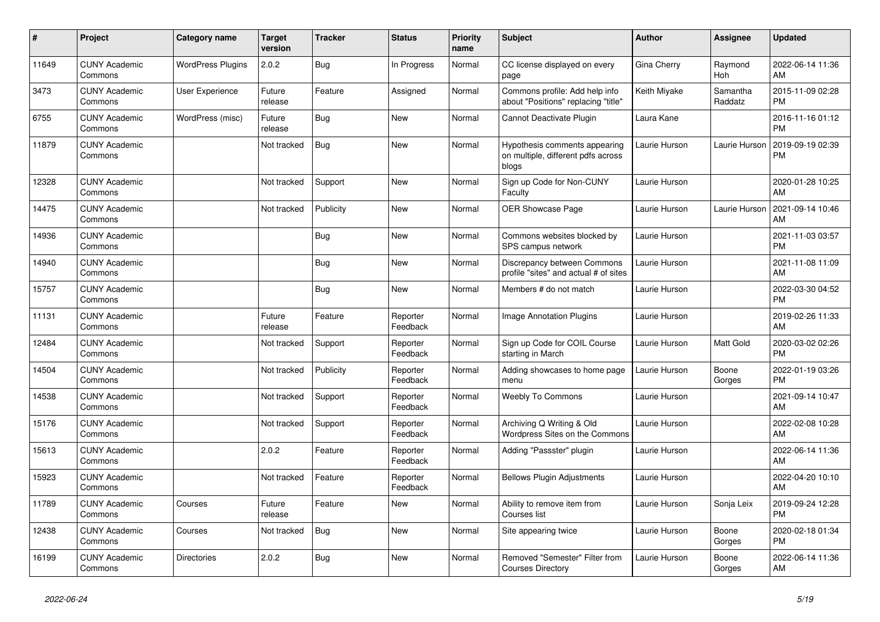| #     | Project                         | <b>Category name</b>     | <b>Target</b><br>version | <b>Tracker</b> | <b>Status</b>        | Priority<br>name | <b>Subject</b>                                                               | <b>Author</b> | <b>Assignee</b>     | <b>Updated</b>                |
|-------|---------------------------------|--------------------------|--------------------------|----------------|----------------------|------------------|------------------------------------------------------------------------------|---------------|---------------------|-------------------------------|
| 11649 | <b>CUNY Academic</b><br>Commons | <b>WordPress Plugins</b> | 2.0.2                    | Bug            | In Progress          | Normal           | CC license displayed on every<br>page                                        | Gina Cherry   | Raymond<br>Hoh      | 2022-06-14 11:36<br>AM        |
| 3473  | <b>CUNY Academic</b><br>Commons | User Experience          | Future<br>release        | Feature        | Assigned             | Normal           | Commons profile: Add help info<br>about "Positions" replacing "title'        | Keith Miyake  | Samantha<br>Raddatz | 2015-11-09 02:28<br><b>PM</b> |
| 6755  | <b>CUNY Academic</b><br>Commons | WordPress (misc)         | Future<br>release        | Bug            | New                  | Normal           | Cannot Deactivate Plugin                                                     | Laura Kane    |                     | 2016-11-16 01:12<br><b>PM</b> |
| 11879 | <b>CUNY Academic</b><br>Commons |                          | Not tracked              | <b>Bug</b>     | <b>New</b>           | Normal           | Hypothesis comments appearing<br>on multiple, different pdfs across<br>blogs | Laurie Hurson | Laurie Hurson       | 2019-09-19 02:39<br><b>PM</b> |
| 12328 | <b>CUNY Academic</b><br>Commons |                          | Not tracked              | Support        | <b>New</b>           | Normal           | Sign up Code for Non-CUNY<br>Faculty                                         | Laurie Hurson |                     | 2020-01-28 10:25<br>AM        |
| 14475 | <b>CUNY Academic</b><br>Commons |                          | Not tracked              | Publicity      | New                  | Normal           | <b>OER Showcase Page</b>                                                     | Laurie Hurson | Laurie Hurson       | 2021-09-14 10:46<br>AM        |
| 14936 | <b>CUNY Academic</b><br>Commons |                          |                          | <b>Bug</b>     | <b>New</b>           | Normal           | Commons websites blocked by<br>SPS campus network                            | Laurie Hurson |                     | 2021-11-03 03:57<br><b>PM</b> |
| 14940 | <b>CUNY Academic</b><br>Commons |                          |                          | <b>Bug</b>     | New                  | Normal           | Discrepancy between Commons<br>profile "sites" and actual # of sites         | Laurie Hurson |                     | 2021-11-08 11:09<br>AM        |
| 15757 | <b>CUNY Academic</b><br>Commons |                          |                          | <b>Bug</b>     | <b>New</b>           | Normal           | Members # do not match                                                       | Laurie Hurson |                     | 2022-03-30 04:52<br><b>PM</b> |
| 11131 | <b>CUNY Academic</b><br>Commons |                          | Future<br>release        | Feature        | Reporter<br>Feedback | Normal           | <b>Image Annotation Plugins</b>                                              | Laurie Hurson |                     | 2019-02-26 11:33<br>AM        |
| 12484 | <b>CUNY Academic</b><br>Commons |                          | Not tracked              | Support        | Reporter<br>Feedback | Normal           | Sign up Code for COIL Course<br>starting in March                            | Laurie Hurson | <b>Matt Gold</b>    | 2020-03-02 02:26<br><b>PM</b> |
| 14504 | <b>CUNY Academic</b><br>Commons |                          | Not tracked              | Publicity      | Reporter<br>Feedback | Normal           | Adding showcases to home page<br>menu                                        | Laurie Hurson | Boone<br>Gorges     | 2022-01-19 03:26<br><b>PM</b> |
| 14538 | <b>CUNY Academic</b><br>Commons |                          | Not tracked              | Support        | Reporter<br>Feedback | Normal           | <b>Weebly To Commons</b>                                                     | Laurie Hurson |                     | 2021-09-14 10:47<br>AM        |
| 15176 | <b>CUNY Academic</b><br>Commons |                          | Not tracked              | Support        | Reporter<br>Feedback | Normal           | Archiving Q Writing & Old<br>Wordpress Sites on the Commons                  | Laurie Hurson |                     | 2022-02-08 10:28<br>AM        |
| 15613 | <b>CUNY Academic</b><br>Commons |                          | 2.0.2                    | Feature        | Reporter<br>Feedback | Normal           | Adding "Passster" plugin                                                     | Laurie Hurson |                     | 2022-06-14 11:36<br>AM        |
| 15923 | <b>CUNY Academic</b><br>Commons |                          | Not tracked              | Feature        | Reporter<br>Feedback | Normal           | <b>Bellows Plugin Adjustments</b>                                            | Laurie Hurson |                     | 2022-04-20 10:10<br>AM        |
| 11789 | <b>CUNY Academic</b><br>Commons | Courses                  | Future<br>release        | Feature        | <b>New</b>           | Normal           | Ability to remove item from<br>Courses list                                  | Laurie Hurson | Sonja Leix          | 2019-09-24 12:28<br><b>PM</b> |
| 12438 | <b>CUNY Academic</b><br>Commons | Courses                  | Not tracked              | <b>Bug</b>     | <b>New</b>           | Normal           | Site appearing twice                                                         | Laurie Hurson | Boone<br>Gorges     | 2020-02-18 01:34<br><b>PM</b> |
| 16199 | <b>CUNY Academic</b><br>Commons | Directories              | 2.0.2                    | Bug            | <b>New</b>           | Normal           | Removed "Semester" Filter from<br><b>Courses Directory</b>                   | Laurie Hurson | Boone<br>Gorges     | 2022-06-14 11:36<br>AM        |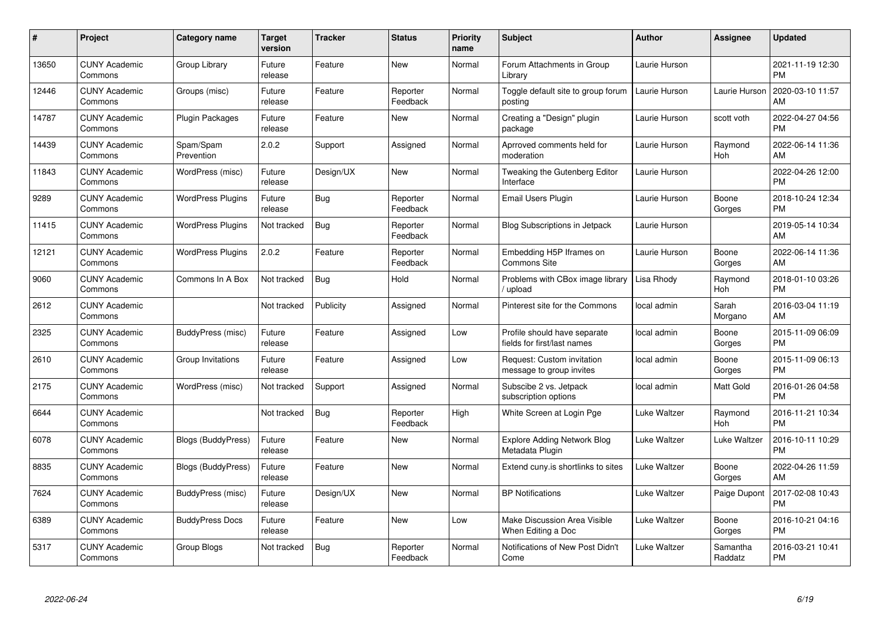| #     | <b>Project</b>                  | Category name            | <b>Target</b><br>version | <b>Tracker</b> | <b>Status</b>        | <b>Priority</b><br>name | <b>Subject</b>                                              | <b>Author</b> | <b>Assignee</b>       | <b>Updated</b>                |
|-------|---------------------------------|--------------------------|--------------------------|----------------|----------------------|-------------------------|-------------------------------------------------------------|---------------|-----------------------|-------------------------------|
| 13650 | <b>CUNY Academic</b><br>Commons | Group Library            | Future<br>release        | Feature        | <b>New</b>           | Normal                  | Forum Attachments in Group<br>Library                       | Laurie Hurson |                       | 2021-11-19 12:30<br><b>PM</b> |
| 12446 | <b>CUNY Academic</b><br>Commons | Groups (misc)            | Future<br>release        | Feature        | Reporter<br>Feedback | Normal                  | Toggle default site to group forum<br>posting               | Laurie Hurson | Laurie Hurson         | 2020-03-10 11:57<br>AM        |
| 14787 | <b>CUNY Academic</b><br>Commons | Plugin Packages          | Future<br>release        | Feature        | <b>New</b>           | Normal                  | Creating a "Design" plugin<br>package                       | Laurie Hurson | scott voth            | 2022-04-27 04:56<br><b>PM</b> |
| 14439 | <b>CUNY Academic</b><br>Commons | Spam/Spam<br>Prevention  | 2.0.2                    | Support        | Assigned             | Normal                  | Aprroved comments held for<br>moderation                    | Laurie Hurson | Raymond<br><b>Hoh</b> | 2022-06-14 11:36<br>AM        |
| 11843 | <b>CUNY Academic</b><br>Commons | WordPress (misc)         | Future<br>release        | Design/UX      | <b>New</b>           | Normal                  | Tweaking the Gutenberg Editor<br>Interface                  | Laurie Hurson |                       | 2022-04-26 12:00<br><b>PM</b> |
| 9289  | <b>CUNY Academic</b><br>Commons | <b>WordPress Plugins</b> | Future<br>release        | Bug            | Reporter<br>Feedback | Normal                  | Email Users Plugin                                          | Laurie Hurson | Boone<br>Gorges       | 2018-10-24 12:34<br><b>PM</b> |
| 11415 | <b>CUNY Academic</b><br>Commons | <b>WordPress Plugins</b> | Not tracked              | Bug            | Reporter<br>Feedback | Normal                  | <b>Blog Subscriptions in Jetpack</b>                        | Laurie Hurson |                       | 2019-05-14 10:34<br>AM        |
| 12121 | <b>CUNY Academic</b><br>Commons | <b>WordPress Plugins</b> | 2.0.2                    | Feature        | Reporter<br>Feedback | Normal                  | Embedding H5P Iframes on<br>Commons Site                    | Laurie Hurson | Boone<br>Gorges       | 2022-06-14 11:36<br>AM        |
| 9060  | <b>CUNY Academic</b><br>Commons | Commons In A Box         | Not tracked              | Bug            | Hold                 | Normal                  | Problems with CBox image library<br>/ upload                | Lisa Rhody    | Raymond<br>Hoh        | 2018-01-10 03:26<br><b>PM</b> |
| 2612  | <b>CUNY Academic</b><br>Commons |                          | Not tracked              | Publicity      | Assigned             | Normal                  | Pinterest site for the Commons                              | local admin   | Sarah<br>Morgano      | 2016-03-04 11:19<br>AM        |
| 2325  | <b>CUNY Academic</b><br>Commons | BuddyPress (misc)        | Future<br>release        | Feature        | Assigned             | Low                     | Profile should have separate<br>fields for first/last names | local admin   | Boone<br>Gorges       | 2015-11-09 06:09<br><b>PM</b> |
| 2610  | <b>CUNY Academic</b><br>Commons | Group Invitations        | Future<br>release        | Feature        | Assigned             | Low                     | Request: Custom invitation<br>message to group invites      | local admin   | Boone<br>Gorges       | 2015-11-09 06:13<br><b>PM</b> |
| 2175  | <b>CUNY Academic</b><br>Commons | WordPress (misc)         | Not tracked              | Support        | Assigned             | Normal                  | Subscibe 2 vs. Jetpack<br>subscription options              | local admin   | <b>Matt Gold</b>      | 2016-01-26 04:58<br><b>PM</b> |
| 6644  | <b>CUNY Academic</b><br>Commons |                          | Not tracked              | Bug            | Reporter<br>Feedback | High                    | White Screen at Login Pge                                   | Luke Waltzer  | Raymond<br>Hoh        | 2016-11-21 10:34<br><b>PM</b> |
| 6078  | <b>CUNY Academic</b><br>Commons | Blogs (BuddyPress)       | Future<br>release        | Feature        | New                  | Normal                  | <b>Explore Adding Network Blog</b><br>Metadata Plugin       | Luke Waltzer  | Luke Waltzer          | 2016-10-11 10:29<br><b>PM</b> |
| 8835  | <b>CUNY Academic</b><br>Commons | Blogs (BuddyPress)       | Future<br>release        | Feature        | <b>New</b>           | Normal                  | Extend cuny is shortlinks to sites                          | Luke Waltzer  | Boone<br>Gorges       | 2022-04-26 11:59<br>AM        |
| 7624  | <b>CUNY Academic</b><br>Commons | BuddyPress (misc)        | Future<br>release        | Design/UX      | New                  | Normal                  | <b>BP Notifications</b>                                     | Luke Waltzer  | Paige Dupont          | 2017-02-08 10:43<br><b>PM</b> |
| 6389  | <b>CUNY Academic</b><br>Commons | <b>BuddyPress Docs</b>   | Future<br>release        | Feature        | <b>New</b>           | Low                     | Make Discussion Area Visible<br>When Editing a Doc          | Luke Waltzer  | Boone<br>Gorges       | 2016-10-21 04:16<br><b>PM</b> |
| 5317  | <b>CUNY Academic</b><br>Commons | Group Blogs              | Not tracked              | <b>Bug</b>     | Reporter<br>Feedback | Normal                  | Notifications of New Post Didn't<br>Come                    | Luke Waltzer  | Samantha<br>Raddatz   | 2016-03-21 10:41<br>PM        |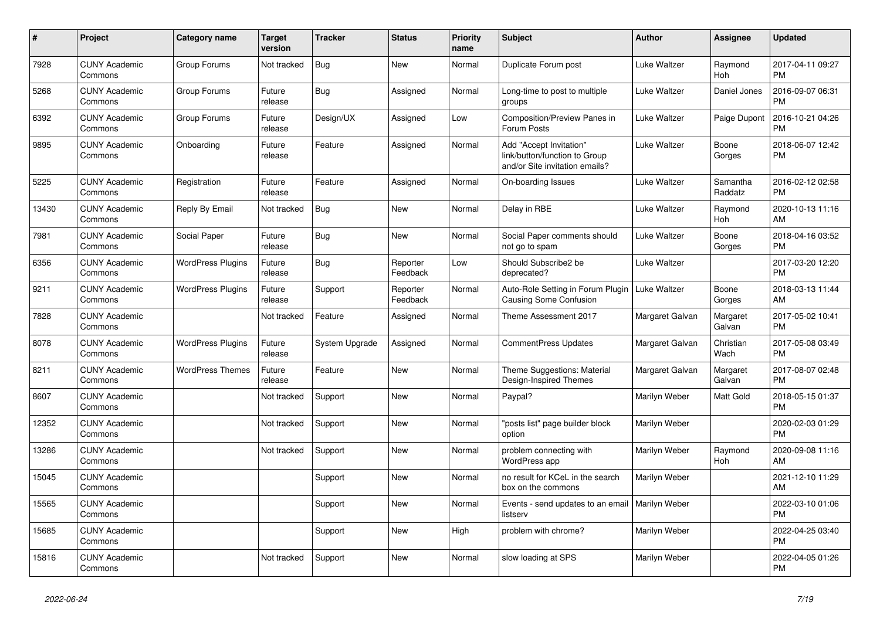| $\pmb{\sharp}$ | <b>Project</b>                  | <b>Category name</b>     | <b>Target</b><br>version | <b>Tracker</b> | <b>Status</b>        | <b>Priority</b><br>name | <b>Subject</b>                                                                             | <b>Author</b>   | <b>Assignee</b>     | <b>Updated</b>                |
|----------------|---------------------------------|--------------------------|--------------------------|----------------|----------------------|-------------------------|--------------------------------------------------------------------------------------------|-----------------|---------------------|-------------------------------|
| 7928           | <b>CUNY Academic</b><br>Commons | Group Forums             | Not tracked              | <b>Bug</b>     | <b>New</b>           | Normal                  | Duplicate Forum post                                                                       | Luke Waltzer    | Raymond<br>Hoh      | 2017-04-11 09:27<br><b>PM</b> |
| 5268           | <b>CUNY Academic</b><br>Commons | Group Forums             | Future<br>release        | <b>Bug</b>     | Assigned             | Normal                  | Long-time to post to multiple<br>groups                                                    | Luke Waltzer    | Daniel Jones        | 2016-09-07 06:31<br><b>PM</b> |
| 6392           | <b>CUNY Academic</b><br>Commons | Group Forums             | Future<br>release        | Design/UX      | Assigned             | Low                     | <b>Composition/Preview Panes in</b><br>Forum Posts                                         | Luke Waltzer    | Paige Dupont        | 2016-10-21 04:26<br><b>PM</b> |
| 9895           | <b>CUNY Academic</b><br>Commons | Onboarding               | Future<br>release        | Feature        | Assigned             | Normal                  | Add "Accept Invitation"<br>link/button/function to Group<br>and/or Site invitation emails? | Luke Waltzer    | Boone<br>Gorges     | 2018-06-07 12:42<br><b>PM</b> |
| 5225           | <b>CUNY Academic</b><br>Commons | Registration             | Future<br>release        | Feature        | Assigned             | Normal                  | On-boarding Issues                                                                         | Luke Waltzer    | Samantha<br>Raddatz | 2016-02-12 02:58<br><b>PM</b> |
| 13430          | <b>CUNY Academic</b><br>Commons | Reply By Email           | Not tracked              | Bug            | <b>New</b>           | Normal                  | Delay in RBE                                                                               | Luke Waltzer    | Raymond<br>Hoh      | 2020-10-13 11:16<br>AM        |
| 7981           | <b>CUNY Academic</b><br>Commons | Social Paper             | Future<br>release        | <b>Bug</b>     | <b>New</b>           | Normal                  | Social Paper comments should<br>not go to spam                                             | Luke Waltzer    | Boone<br>Gorges     | 2018-04-16 03:52<br><b>PM</b> |
| 6356           | <b>CUNY Academic</b><br>Commons | <b>WordPress Plugins</b> | Future<br>release        | <b>Bug</b>     | Reporter<br>Feedback | Low                     | Should Subscribe2 be<br>deprecated?                                                        | Luke Waltzer    |                     | 2017-03-20 12:20<br><b>PM</b> |
| 9211           | <b>CUNY Academic</b><br>Commons | <b>WordPress Plugins</b> | Future<br>release        | Support        | Reporter<br>Feedback | Normal                  | Auto-Role Setting in Forum Plugin   Luke Waltzer<br><b>Causing Some Confusion</b>          |                 | Boone<br>Gorges     | 2018-03-13 11:44<br>AM        |
| 7828           | <b>CUNY Academic</b><br>Commons |                          | Not tracked              | Feature        | Assigned             | Normal                  | Theme Assessment 2017                                                                      | Margaret Galvan | Margaret<br>Galvan  | 2017-05-02 10:41<br><b>PM</b> |
| 8078           | <b>CUNY Academic</b><br>Commons | <b>WordPress Plugins</b> | Future<br>release        | System Upgrade | Assigned             | Normal                  | <b>CommentPress Updates</b>                                                                | Margaret Galvan | Christian<br>Wach   | 2017-05-08 03:49<br><b>PM</b> |
| 8211           | <b>CUNY Academic</b><br>Commons | <b>WordPress Themes</b>  | Future<br>release        | Feature        | <b>New</b>           | Normal                  | Theme Suggestions: Material<br>Design-Inspired Themes                                      | Margaret Galvan | Margaret<br>Galvan  | 2017-08-07 02:48<br><b>PM</b> |
| 8607           | <b>CUNY Academic</b><br>Commons |                          | Not tracked              | Support        | New                  | Normal                  | Paypal?                                                                                    | Marilyn Weber   | Matt Gold           | 2018-05-15 01:37<br><b>PM</b> |
| 12352          | <b>CUNY Academic</b><br>Commons |                          | Not tracked              | Support        | <b>New</b>           | Normal                  | "posts list" page builder block<br>option                                                  | Marilyn Weber   |                     | 2020-02-03 01:29<br><b>PM</b> |
| 13286          | <b>CUNY Academic</b><br>Commons |                          | Not tracked              | Support        | New                  | Normal                  | problem connecting with<br>WordPress app                                                   | Marilyn Weber   | Raymond<br>Hoh      | 2020-09-08 11:16<br>AM        |
| 15045          | <b>CUNY Academic</b><br>Commons |                          |                          | Support        | <b>New</b>           | Normal                  | no result for KCeL in the search<br>box on the commons                                     | Marilyn Weber   |                     | 2021-12-10 11:29<br>AM        |
| 15565          | <b>CUNY Academic</b><br>Commons |                          |                          | Support        | <b>New</b>           | Normal                  | Events - send updates to an email   Marilyn Weber<br>listserv                              |                 |                     | 2022-03-10 01:06<br><b>PM</b> |
| 15685          | <b>CUNY Academic</b><br>Commons |                          |                          | Support        | New                  | High                    | problem with chrome?                                                                       | Marilyn Weber   |                     | 2022-04-25 03:40<br><b>PM</b> |
| 15816          | <b>CUNY Academic</b><br>Commons |                          | Not tracked              | Support        | <b>New</b>           | Normal                  | slow loading at SPS                                                                        | Marilyn Weber   |                     | 2022-04-05 01:26<br><b>PM</b> |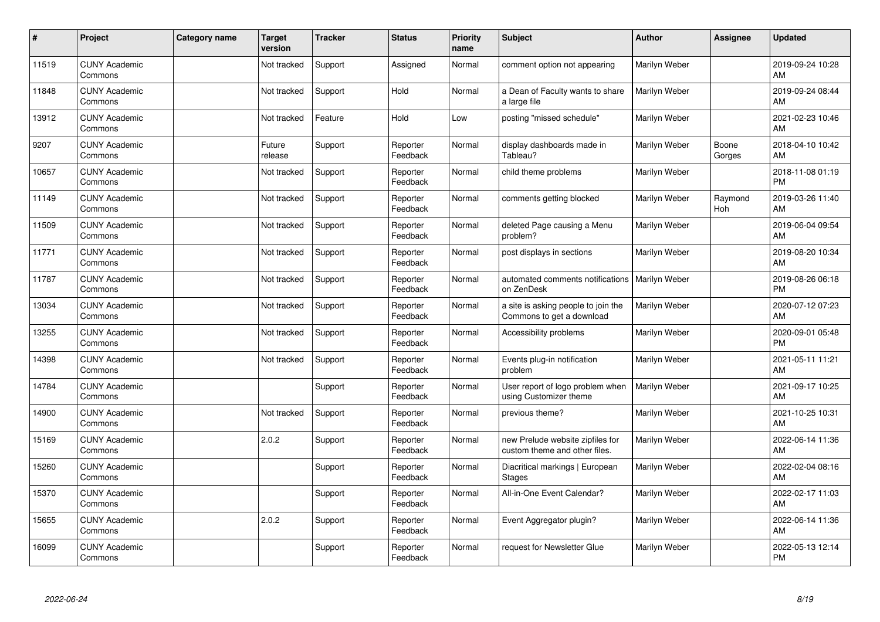| #     | Project                         | <b>Category name</b> | <b>Target</b><br>version | <b>Tracker</b> | <b>Status</b>        | <b>Priority</b><br>name | <b>Subject</b>                                                    | <b>Author</b> | <b>Assignee</b> | <b>Updated</b>                |
|-------|---------------------------------|----------------------|--------------------------|----------------|----------------------|-------------------------|-------------------------------------------------------------------|---------------|-----------------|-------------------------------|
| 11519 | <b>CUNY Academic</b><br>Commons |                      | Not tracked              | Support        | Assigned             | Normal                  | comment option not appearing                                      | Marilyn Weber |                 | 2019-09-24 10:28<br>AM        |
| 11848 | <b>CUNY Academic</b><br>Commons |                      | Not tracked              | Support        | Hold                 | Normal                  | a Dean of Faculty wants to share<br>a large file                  | Marilyn Weber |                 | 2019-09-24 08:44<br>AM        |
| 13912 | <b>CUNY Academic</b><br>Commons |                      | Not tracked              | Feature        | Hold                 | Low                     | posting "missed schedule"                                         | Marilyn Weber |                 | 2021-02-23 10:46<br>AM        |
| 9207  | <b>CUNY Academic</b><br>Commons |                      | Future<br>release        | Support        | Reporter<br>Feedback | Normal                  | display dashboards made in<br>Tableau?                            | Marilyn Weber | Boone<br>Gorges | 2018-04-10 10:42<br>AM        |
| 10657 | <b>CUNY Academic</b><br>Commons |                      | Not tracked              | Support        | Reporter<br>Feedback | Normal                  | child theme problems                                              | Marilyn Weber |                 | 2018-11-08 01:19<br><b>PM</b> |
| 11149 | <b>CUNY Academic</b><br>Commons |                      | Not tracked              | Support        | Reporter<br>Feedback | Normal                  | comments getting blocked                                          | Marilyn Weber | Raymond<br>Hoh  | 2019-03-26 11:40<br>AM        |
| 11509 | <b>CUNY Academic</b><br>Commons |                      | Not tracked              | Support        | Reporter<br>Feedback | Normal                  | deleted Page causing a Menu<br>problem?                           | Marilyn Weber |                 | 2019-06-04 09:54<br>AM        |
| 11771 | <b>CUNY Academic</b><br>Commons |                      | Not tracked              | Support        | Reporter<br>Feedback | Normal                  | post displays in sections                                         | Marilyn Weber |                 | 2019-08-20 10:34<br>AM        |
| 11787 | <b>CUNY Academic</b><br>Commons |                      | Not tracked              | Support        | Reporter<br>Feedback | Normal                  | automated comments notifications<br>on ZenDesk                    | Marilyn Weber |                 | 2019-08-26 06:18<br><b>PM</b> |
| 13034 | <b>CUNY Academic</b><br>Commons |                      | Not tracked              | Support        | Reporter<br>Feedback | Normal                  | a site is asking people to join the<br>Commons to get a download  | Marilyn Weber |                 | 2020-07-12 07:23<br>AM        |
| 13255 | <b>CUNY Academic</b><br>Commons |                      | Not tracked              | Support        | Reporter<br>Feedback | Normal                  | Accessibility problems                                            | Marilyn Weber |                 | 2020-09-01 05:48<br><b>PM</b> |
| 14398 | <b>CUNY Academic</b><br>Commons |                      | Not tracked              | Support        | Reporter<br>Feedback | Normal                  | Events plug-in notification<br>problem                            | Marilyn Weber |                 | 2021-05-11 11:21<br>AM        |
| 14784 | <b>CUNY Academic</b><br>Commons |                      |                          | Support        | Reporter<br>Feedback | Normal                  | User report of logo problem when<br>using Customizer theme        | Marilyn Weber |                 | 2021-09-17 10:25<br>AM        |
| 14900 | <b>CUNY Academic</b><br>Commons |                      | Not tracked              | Support        | Reporter<br>Feedback | Normal                  | previous theme?                                                   | Marilyn Weber |                 | 2021-10-25 10:31<br>AM        |
| 15169 | <b>CUNY Academic</b><br>Commons |                      | 2.0.2                    | Support        | Reporter<br>Feedback | Normal                  | new Prelude website zipfiles for<br>custom theme and other files. | Marilyn Weber |                 | 2022-06-14 11:36<br>AM        |
| 15260 | <b>CUNY Academic</b><br>Commons |                      |                          | Support        | Reporter<br>Feedback | Normal                  | Diacritical markings   European<br><b>Stages</b>                  | Marilyn Weber |                 | 2022-02-04 08:16<br>AM        |
| 15370 | <b>CUNY Academic</b><br>Commons |                      |                          | Support        | Reporter<br>Feedback | Normal                  | All-in-One Event Calendar?                                        | Marilyn Weber |                 | 2022-02-17 11:03<br>AM        |
| 15655 | <b>CUNY Academic</b><br>Commons |                      | 2.0.2                    | Support        | Reporter<br>Feedback | Normal                  | Event Aggregator plugin?                                          | Marilyn Weber |                 | 2022-06-14 11:36<br>AM        |
| 16099 | <b>CUNY Academic</b><br>Commons |                      |                          | Support        | Reporter<br>Feedback | Normal                  | request for Newsletter Glue                                       | Marilyn Weber |                 | 2022-05-13 12:14<br>PM        |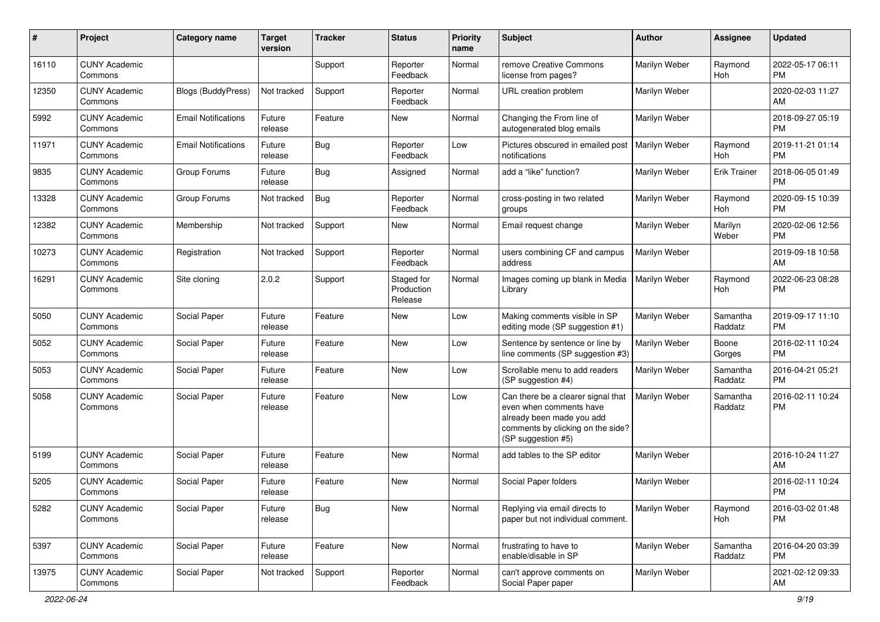| #     | Project                         | <b>Category name</b>       | <b>Target</b><br>version | <b>Tracker</b> | <b>Status</b>                       | <b>Priority</b><br>name | <b>Subject</b>                                                                                                                                        | <b>Author</b> | <b>Assignee</b>       | <b>Updated</b>                |
|-------|---------------------------------|----------------------------|--------------------------|----------------|-------------------------------------|-------------------------|-------------------------------------------------------------------------------------------------------------------------------------------------------|---------------|-----------------------|-------------------------------|
| 16110 | <b>CUNY Academic</b><br>Commons |                            |                          | Support        | Reporter<br>Feedback                | Normal                  | remove Creative Commons<br>license from pages?                                                                                                        | Marilyn Weber | Raymond<br><b>Hoh</b> | 2022-05-17 06:11<br><b>PM</b> |
| 12350 | <b>CUNY Academic</b><br>Commons | <b>Blogs (BuddyPress)</b>  | Not tracked              | Support        | Reporter<br>Feedback                | Normal                  | URL creation problem                                                                                                                                  | Marilyn Weber |                       | 2020-02-03 11:27<br>AM        |
| 5992  | <b>CUNY Academic</b><br>Commons | <b>Email Notifications</b> | Future<br>release        | Feature        | New                                 | Normal                  | Changing the From line of<br>autogenerated blog emails                                                                                                | Marilyn Weber |                       | 2018-09-27 05:19<br><b>PM</b> |
| 11971 | <b>CUNY Academic</b><br>Commons | <b>Email Notifications</b> | Future<br>release        | Bug            | Reporter<br>Feedback                | Low                     | Pictures obscured in emailed post<br>notifications                                                                                                    | Marilyn Weber | Raymond<br>Hoh        | 2019-11-21 01:14<br><b>PM</b> |
| 9835  | <b>CUNY Academic</b><br>Commons | Group Forums               | Future<br>release        | <b>Bug</b>     | Assigned                            | Normal                  | add a "like" function?                                                                                                                                | Marilyn Weber | <b>Erik Trainer</b>   | 2018-06-05 01:49<br><b>PM</b> |
| 13328 | <b>CUNY Academic</b><br>Commons | Group Forums               | Not tracked              | Bug            | Reporter<br>Feedback                | Normal                  | cross-posting in two related<br>groups                                                                                                                | Marilyn Weber | Raymond<br>Hoh        | 2020-09-15 10:39<br><b>PM</b> |
| 12382 | <b>CUNY Academic</b><br>Commons | Membership                 | Not tracked              | Support        | New                                 | Normal                  | Email request change                                                                                                                                  | Marilyn Weber | Marilyn<br>Weber      | 2020-02-06 12:56<br><b>PM</b> |
| 10273 | <b>CUNY Academic</b><br>Commons | Registration               | Not tracked              | Support        | Reporter<br>Feedback                | Normal                  | users combining CF and campus<br>address                                                                                                              | Marilyn Weber |                       | 2019-09-18 10:58<br>AM        |
| 16291 | <b>CUNY Academic</b><br>Commons | Site cloning               | 2.0.2                    | Support        | Staged for<br>Production<br>Release | Normal                  | Images coming up blank in Media<br>Library                                                                                                            | Marilyn Weber | Raymond<br><b>Hoh</b> | 2022-06-23 08:28<br><b>PM</b> |
| 5050  | <b>CUNY Academic</b><br>Commons | Social Paper               | Future<br>release        | Feature        | <b>New</b>                          | Low                     | Making comments visible in SP<br>editing mode (SP suggestion #1)                                                                                      | Marilyn Weber | Samantha<br>Raddatz   | 2019-09-17 11:10<br><b>PM</b> |
| 5052  | <b>CUNY Academic</b><br>Commons | Social Paper               | Future<br>release        | Feature        | <b>New</b>                          | Low                     | Sentence by sentence or line by<br>line comments (SP suggestion #3)                                                                                   | Marilyn Weber | Boone<br>Gorges       | 2016-02-11 10:24<br><b>PM</b> |
| 5053  | <b>CUNY Academic</b><br>Commons | Social Paper               | Future<br>release        | Feature        | <b>New</b>                          | Low                     | Scrollable menu to add readers<br>(SP suggestion #4)                                                                                                  | Marilyn Weber | Samantha<br>Raddatz   | 2016-04-21 05:21<br><b>PM</b> |
| 5058  | <b>CUNY Academic</b><br>Commons | Social Paper               | Future<br>release        | Feature        | <b>New</b>                          | Low                     | Can there be a clearer signal that<br>even when comments have<br>already been made you add<br>comments by clicking on the side?<br>(SP suggestion #5) | Marilyn Weber | Samantha<br>Raddatz   | 2016-02-11 10:24<br><b>PM</b> |
| 5199  | <b>CUNY Academic</b><br>Commons | Social Paper               | Future<br>release        | Feature        | New                                 | Normal                  | add tables to the SP editor                                                                                                                           | Marilyn Weber |                       | 2016-10-24 11:27<br>AM        |
| 5205  | <b>CUNY Academic</b><br>Commons | Social Paper               | Future<br>release        | Feature        | <b>New</b>                          | Normal                  | Social Paper folders                                                                                                                                  | Marilyn Weber |                       | 2016-02-11 10:24<br><b>PM</b> |
| 5282  | <b>CUNY Academic</b><br>Commons | Social Paper               | Future<br>release        | <b>Bug</b>     | New                                 | Normal                  | Replying via email directs to<br>paper but not individual comment.                                                                                    | Marilyn Weber | Raymond<br>Hoh        | 2016-03-02 01:48<br><b>PM</b> |
| 5397  | <b>CUNY Academic</b><br>Commons | Social Paper               | Future<br>release        | Feature        | New                                 | Normal                  | frustrating to have to<br>enable/disable in SP                                                                                                        | Marilyn Weber | Samantha<br>Raddatz   | 2016-04-20 03:39<br><b>PM</b> |
| 13975 | <b>CUNY Academic</b><br>Commons | Social Paper               | Not tracked              | Support        | Reporter<br>Feedback                | Normal                  | can't approve comments on<br>Social Paper paper                                                                                                       | Marilyn Weber |                       | 2021-02-12 09:33<br>AM        |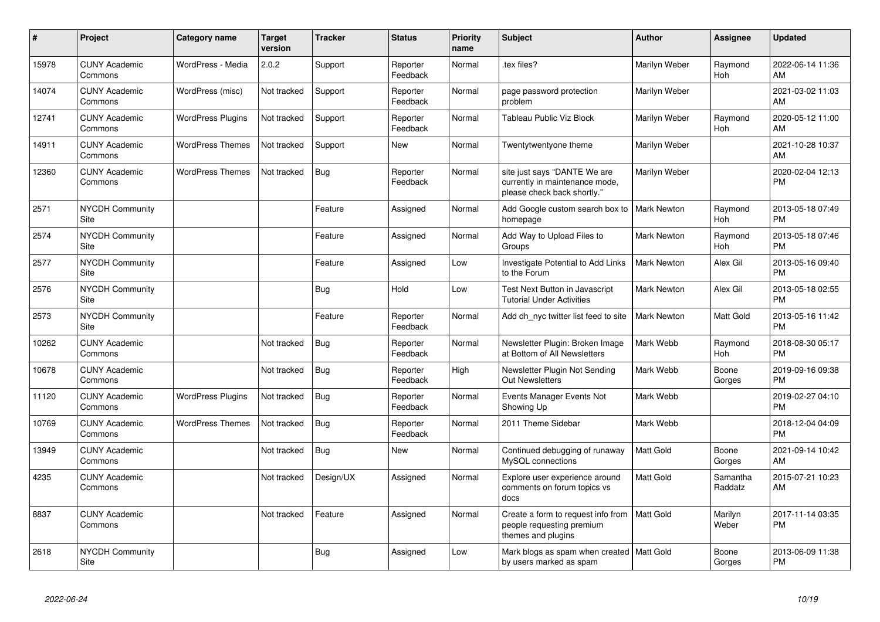| #     | Project                         | <b>Category name</b>     | <b>Target</b><br>version | Tracker    | <b>Status</b>        | <b>Priority</b><br>name | <b>Subject</b>                                                                                | <b>Author</b>      | <b>Assignee</b>     | <b>Updated</b>                |
|-------|---------------------------------|--------------------------|--------------------------|------------|----------------------|-------------------------|-----------------------------------------------------------------------------------------------|--------------------|---------------------|-------------------------------|
| 15978 | <b>CUNY Academic</b><br>Commons | WordPress - Media        | 2.0.2                    | Support    | Reporter<br>Feedback | Normal                  | tex files?                                                                                    | Marilyn Weber      | Raymond<br>Hoh      | 2022-06-14 11:36<br>AM        |
| 14074 | <b>CUNY Academic</b><br>Commons | WordPress (misc)         | Not tracked              | Support    | Reporter<br>Feedback | Normal                  | page password protection<br>problem                                                           | Marilyn Weber      |                     | 2021-03-02 11:03<br>AM        |
| 12741 | <b>CUNY Academic</b><br>Commons | <b>WordPress Plugins</b> | Not tracked              | Support    | Reporter<br>Feedback | Normal                  | Tableau Public Viz Block                                                                      | Marilyn Weber      | Raymond<br>Hoh      | 2020-05-12 11:00<br>AM        |
| 14911 | <b>CUNY Academic</b><br>Commons | <b>WordPress Themes</b>  | Not tracked              | Support    | New                  | Normal                  | Twentytwentyone theme                                                                         | Marilyn Weber      |                     | 2021-10-28 10:37<br>AM        |
| 12360 | <b>CUNY Academic</b><br>Commons | <b>WordPress Themes</b>  | Not tracked              | <b>Bug</b> | Reporter<br>Feedback | Normal                  | site just says "DANTE We are<br>currently in maintenance mode,<br>please check back shortly." | Marilyn Weber      |                     | 2020-02-04 12:13<br><b>PM</b> |
| 2571  | <b>NYCDH Community</b><br>Site  |                          |                          | Feature    | Assigned             | Normal                  | Add Google custom search box to<br>homepage                                                   | <b>Mark Newton</b> | Raymond<br>Hoh      | 2013-05-18 07:49<br><b>PM</b> |
| 2574  | <b>NYCDH Community</b><br>Site  |                          |                          | Feature    | Assigned             | Normal                  | Add Way to Upload Files to<br>Groups                                                          | <b>Mark Newton</b> | Raymond<br>Hoh      | 2013-05-18 07:46<br><b>PM</b> |
| 2577  | <b>NYCDH Community</b><br>Site  |                          |                          | Feature    | Assigned             | Low                     | Investigate Potential to Add Links<br>to the Forum                                            | <b>Mark Newton</b> | Alex Gil            | 2013-05-16 09:40<br><b>PM</b> |
| 2576  | NYCDH Community<br>Site         |                          |                          | <b>Bug</b> | Hold                 | Low                     | Test Next Button in Javascript<br><b>Tutorial Under Activities</b>                            | <b>Mark Newton</b> | Alex Gil            | 2013-05-18 02:55<br><b>PM</b> |
| 2573  | NYCDH Community<br>Site         |                          |                          | Feature    | Reporter<br>Feedback | Normal                  | Add dh_nyc twitter list feed to site                                                          | <b>Mark Newton</b> | Matt Gold           | 2013-05-16 11:42<br><b>PM</b> |
| 10262 | <b>CUNY Academic</b><br>Commons |                          | Not tracked              | Bug        | Reporter<br>Feedback | Normal                  | Newsletter Plugin: Broken Image<br>at Bottom of All Newsletters                               | Mark Webb          | Raymond<br>Hoh      | 2018-08-30 05:17<br><b>PM</b> |
| 10678 | <b>CUNY Academic</b><br>Commons |                          | Not tracked              | <b>Bug</b> | Reporter<br>Feedback | High                    | Newsletter Plugin Not Sending<br><b>Out Newsletters</b>                                       | Mark Webb          | Boone<br>Gorges     | 2019-09-16 09:38<br><b>PM</b> |
| 11120 | <b>CUNY Academic</b><br>Commons | <b>WordPress Plugins</b> | Not tracked              | Bug        | Reporter<br>Feedback | Normal                  | Events Manager Events Not<br>Showing Up                                                       | Mark Webb          |                     | 2019-02-27 04:10<br><b>PM</b> |
| 10769 | <b>CUNY Academic</b><br>Commons | <b>WordPress Themes</b>  | Not tracked              | Bug        | Reporter<br>Feedback | Normal                  | 2011 Theme Sidebar                                                                            | Mark Webb          |                     | 2018-12-04 04:09<br><b>PM</b> |
| 13949 | <b>CUNY Academic</b><br>Commons |                          | Not tracked              | <b>Bug</b> | New                  | Normal                  | Continued debugging of runaway<br>MySQL connections                                           | Matt Gold          | Boone<br>Gorges     | 2021-09-14 10:42<br>AM        |
| 4235  | <b>CUNY Academic</b><br>Commons |                          | Not tracked              | Design/UX  | Assigned             | Normal                  | Explore user experience around<br>comments on forum topics vs<br>docs                         | Matt Gold          | Samantha<br>Raddatz | 2015-07-21 10:23<br>AM        |
| 8837  | <b>CUNY Academic</b><br>Commons |                          | Not tracked              | Feature    | Assigned             | Normal                  | Create a form to request info from<br>people requesting premium<br>themes and plugins         | <b>Matt Gold</b>   | Marilyn<br>Weber    | 2017-11-14 03:35<br><b>PM</b> |
| 2618  | <b>NYCDH Community</b><br>Site  |                          |                          | Bug        | Assigned             | Low                     | Mark blogs as spam when created   Matt Gold<br>by users marked as spam                        |                    | Boone<br>Gorges     | 2013-06-09 11:38<br><b>PM</b> |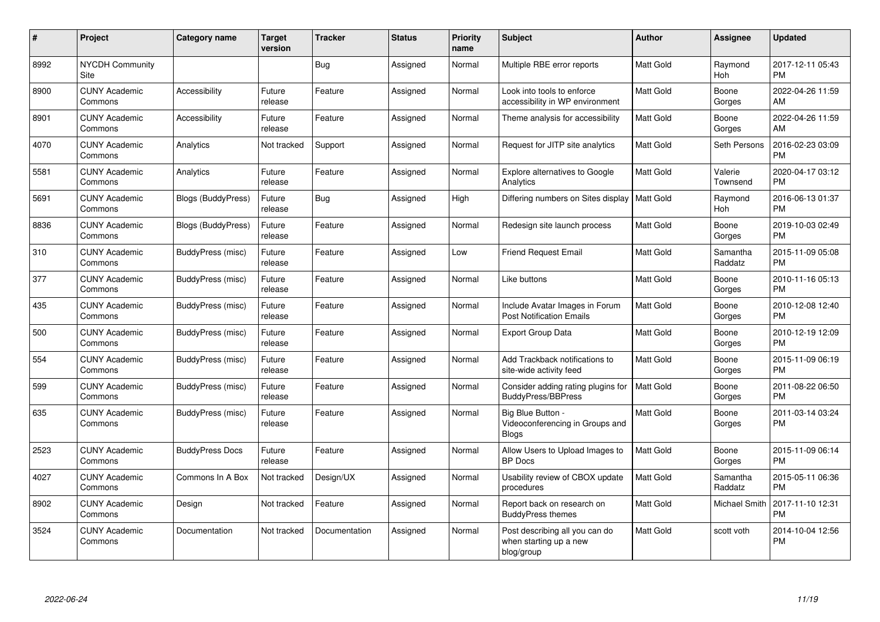| #    | Project                         | <b>Category name</b>   | <b>Target</b><br>version | <b>Tracker</b> | <b>Status</b> | <b>Priority</b><br>name | <b>Subject</b>                                                         | <b>Author</b>    | <b>Assignee</b>     | <b>Updated</b>                |
|------|---------------------------------|------------------------|--------------------------|----------------|---------------|-------------------------|------------------------------------------------------------------------|------------------|---------------------|-------------------------------|
| 8992 | NYCDH Community<br>Site         |                        |                          | Bug            | Assigned      | Normal                  | Multiple RBE error reports                                             | <b>Matt Gold</b> | Raymond<br>Hoh      | 2017-12-11 05:43<br><b>PM</b> |
| 8900 | <b>CUNY Academic</b><br>Commons | Accessibility          | Future<br>release        | Feature        | Assigned      | Normal                  | Look into tools to enforce<br>accessibility in WP environment          | <b>Matt Gold</b> | Boone<br>Gorges     | 2022-04-26 11:59<br>AM        |
| 8901 | <b>CUNY Academic</b><br>Commons | Accessibility          | Future<br>release        | Feature        | Assigned      | Normal                  | Theme analysis for accessibility                                       | <b>Matt Gold</b> | Boone<br>Gorges     | 2022-04-26 11:59<br>AM        |
| 4070 | <b>CUNY Academic</b><br>Commons | Analytics              | Not tracked              | Support        | Assigned      | Normal                  | Request for JITP site analytics                                        | <b>Matt Gold</b> | Seth Persons        | 2016-02-23 03:09<br><b>PM</b> |
| 5581 | <b>CUNY Academic</b><br>Commons | Analytics              | Future<br>release        | Feature        | Assigned      | Normal                  | Explore alternatives to Google<br>Analytics                            | Matt Gold        | Valerie<br>Townsend | 2020-04-17 03:12<br><b>PM</b> |
| 5691 | <b>CUNY Academic</b><br>Commons | Blogs (BuddyPress)     | Future<br>release        | <b>Bug</b>     | Assigned      | High                    | Differing numbers on Sites display                                     | <b>Matt Gold</b> | Raymond<br>Hoh      | 2016-06-13 01:37<br><b>PM</b> |
| 8836 | <b>CUNY Academic</b><br>Commons | Blogs (BuddyPress)     | Future<br>release        | Feature        | Assigned      | Normal                  | Redesign site launch process                                           | Matt Gold        | Boone<br>Gorges     | 2019-10-03 02:49<br><b>PM</b> |
| 310  | <b>CUNY Academic</b><br>Commons | BuddyPress (misc)      | Future<br>release        | Feature        | Assigned      | Low                     | <b>Friend Request Email</b>                                            | <b>Matt Gold</b> | Samantha<br>Raddatz | 2015-11-09 05:08<br><b>PM</b> |
| 377  | <b>CUNY Academic</b><br>Commons | BuddyPress (misc)      | Future<br>release        | Feature        | Assigned      | Normal                  | Like buttons                                                           | <b>Matt Gold</b> | Boone<br>Gorges     | 2010-11-16 05:13<br><b>PM</b> |
| 435  | <b>CUNY Academic</b><br>Commons | BuddyPress (misc)      | Future<br>release        | Feature        | Assigned      | Normal                  | Include Avatar Images in Forum<br><b>Post Notification Emails</b>      | Matt Gold        | Boone<br>Gorges     | 2010-12-08 12:40<br><b>PM</b> |
| 500  | <b>CUNY Academic</b><br>Commons | BuddyPress (misc)      | Future<br>release        | Feature        | Assigned      | Normal                  | <b>Export Group Data</b>                                               | <b>Matt Gold</b> | Boone<br>Gorges     | 2010-12-19 12:09<br><b>PM</b> |
| 554  | <b>CUNY Academic</b><br>Commons | BuddyPress (misc)      | Future<br>release        | Feature        | Assigned      | Normal                  | Add Trackback notifications to<br>site-wide activity feed              | Matt Gold        | Boone<br>Gorges     | 2015-11-09 06:19<br><b>PM</b> |
| 599  | <b>CUNY Academic</b><br>Commons | BuddyPress (misc)      | Future<br>release        | Feature        | Assigned      | Normal                  | Consider adding rating plugins for<br><b>BuddyPress/BBPress</b>        | Matt Gold        | Boone<br>Gorges     | 2011-08-22 06:50<br><b>PM</b> |
| 635  | <b>CUNY Academic</b><br>Commons | BuddyPress (misc)      | Future<br>release        | Feature        | Assigned      | Normal                  | Big Blue Button -<br>Videoconferencing in Groups and<br><b>Blogs</b>   | Matt Gold        | Boone<br>Gorges     | 2011-03-14 03:24<br><b>PM</b> |
| 2523 | <b>CUNY Academic</b><br>Commons | <b>BuddyPress Docs</b> | Future<br>release        | Feature        | Assigned      | Normal                  | Allow Users to Upload Images to<br><b>BP</b> Docs                      | Matt Gold        | Boone<br>Gorges     | 2015-11-09 06:14<br><b>PM</b> |
| 4027 | <b>CUNY Academic</b><br>Commons | Commons In A Box       | Not tracked              | Design/UX      | Assigned      | Normal                  | Usability review of CBOX update<br>procedures                          | <b>Matt Gold</b> | Samantha<br>Raddatz | 2015-05-11 06:36<br><b>PM</b> |
| 8902 | <b>CUNY Academic</b><br>Commons | Design                 | Not tracked              | Feature        | Assigned      | Normal                  | Report back on research on<br><b>BuddyPress themes</b>                 | Matt Gold        | Michael Smith       | 2017-11-10 12:31<br><b>PM</b> |
| 3524 | <b>CUNY Academic</b><br>Commons | Documentation          | Not tracked              | Documentation  | Assigned      | Normal                  | Post describing all you can do<br>when starting up a new<br>blog/group | <b>Matt Gold</b> | scott voth          | 2014-10-04 12:56<br><b>PM</b> |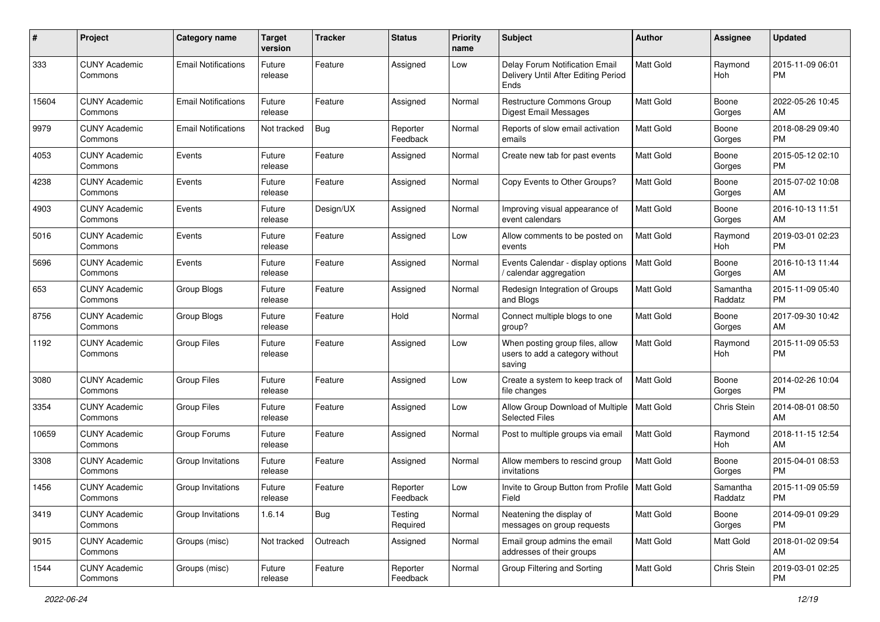| #     | Project                         | <b>Category name</b>       | <b>Target</b><br>version | <b>Tracker</b> | <b>Status</b>        | <b>Priority</b><br>name | <b>Subject</b>                                                                | Author           | Assignee            | <b>Updated</b>                |
|-------|---------------------------------|----------------------------|--------------------------|----------------|----------------------|-------------------------|-------------------------------------------------------------------------------|------------------|---------------------|-------------------------------|
| 333   | <b>CUNY Academic</b><br>Commons | <b>Email Notifications</b> | Future<br>release        | Feature        | Assigned             | Low                     | Delay Forum Notification Email<br>Delivery Until After Editing Period<br>Ends | <b>Matt Gold</b> | Raymond<br>Hoh      | 2015-11-09 06:01<br><b>PM</b> |
| 15604 | <b>CUNY Academic</b><br>Commons | <b>Email Notifications</b> | Future<br>release        | Feature        | Assigned             | Normal                  | Restructure Commons Group<br>Digest Email Messages                            | <b>Matt Gold</b> | Boone<br>Gorges     | 2022-05-26 10:45<br>AM        |
| 9979  | <b>CUNY Academic</b><br>Commons | <b>Email Notifications</b> | Not tracked              | Bug            | Reporter<br>Feedback | Normal                  | Reports of slow email activation<br>emails                                    | <b>Matt Gold</b> | Boone<br>Gorges     | 2018-08-29 09:40<br><b>PM</b> |
| 4053  | <b>CUNY Academic</b><br>Commons | Events                     | Future<br>release        | Feature        | Assigned             | Normal                  | Create new tab for past events                                                | <b>Matt Gold</b> | Boone<br>Gorges     | 2015-05-12 02:10<br><b>PM</b> |
| 4238  | <b>CUNY Academic</b><br>Commons | Events                     | Future<br>release        | Feature        | Assigned             | Normal                  | Copy Events to Other Groups?                                                  | Matt Gold        | Boone<br>Gorges     | 2015-07-02 10:08<br>AM        |
| 4903  | <b>CUNY Academic</b><br>Commons | Events                     | Future<br>release        | Design/UX      | Assigned             | Normal                  | Improving visual appearance of<br>event calendars                             | <b>Matt Gold</b> | Boone<br>Gorges     | 2016-10-13 11:51<br>AM        |
| 5016  | <b>CUNY Academic</b><br>Commons | Events                     | Future<br>release        | Feature        | Assigned             | Low                     | Allow comments to be posted on<br>events                                      | <b>Matt Gold</b> | Raymond<br>Hoh      | 2019-03-01 02:23<br><b>PM</b> |
| 5696  | <b>CUNY Academic</b><br>Commons | Events                     | Future<br>release        | Feature        | Assigned             | Normal                  | Events Calendar - display options<br>/ calendar aggregation                   | Matt Gold        | Boone<br>Gorges     | 2016-10-13 11:44<br>AM        |
| 653   | <b>CUNY Academic</b><br>Commons | Group Blogs                | Future<br>release        | Feature        | Assigned             | Normal                  | Redesign Integration of Groups<br>and Blogs                                   | <b>Matt Gold</b> | Samantha<br>Raddatz | 2015-11-09 05:40<br><b>PM</b> |
| 8756  | <b>CUNY Academic</b><br>Commons | Group Blogs                | Future<br>release        | Feature        | Hold                 | Normal                  | Connect multiple blogs to one<br>group?                                       | Matt Gold        | Boone<br>Gorges     | 2017-09-30 10:42<br>AM        |
| 1192  | <b>CUNY Academic</b><br>Commons | <b>Group Files</b>         | Future<br>release        | Feature        | Assigned             | Low                     | When posting group files, allow<br>users to add a category without<br>saving  | Matt Gold        | Raymond<br>Hoh      | 2015-11-09 05:53<br><b>PM</b> |
| 3080  | <b>CUNY Academic</b><br>Commons | Group Files                | Future<br>release        | Feature        | Assigned             | Low                     | Create a system to keep track of<br>file changes                              | <b>Matt Gold</b> | Boone<br>Gorges     | 2014-02-26 10:04<br><b>PM</b> |
| 3354  | <b>CUNY Academic</b><br>Commons | <b>Group Files</b>         | Future<br>release        | Feature        | Assigned             | Low                     | Allow Group Download of Multiple<br><b>Selected Files</b>                     | Matt Gold        | Chris Stein         | 2014-08-01 08:50<br>AM        |
| 10659 | <b>CUNY Academic</b><br>Commons | Group Forums               | Future<br>release        | Feature        | Assigned             | Normal                  | Post to multiple groups via email                                             | <b>Matt Gold</b> | Raymond<br>Hoh      | 2018-11-15 12:54<br>AM        |
| 3308  | <b>CUNY Academic</b><br>Commons | Group Invitations          | Future<br>release        | Feature        | Assigned             | Normal                  | Allow members to rescind group<br>invitations                                 | Matt Gold        | Boone<br>Gorges     | 2015-04-01 08:53<br><b>PM</b> |
| 1456  | <b>CUNY Academic</b><br>Commons | Group Invitations          | Future<br>release        | Feature        | Reporter<br>Feedback | Low                     | Invite to Group Button from Profile   Matt Gold<br>Field                      |                  | Samantha<br>Raddatz | 2015-11-09 05:59<br>PM        |
| 3419  | <b>CUNY Academic</b><br>Commons | Group Invitations          | 1.6.14                   | Bug            | Testing<br>Required  | Normal                  | Neatening the display of<br>messages on group requests                        | Matt Gold        | Boone<br>Gorges     | 2014-09-01 09:29<br><b>PM</b> |
| 9015  | <b>CUNY Academic</b><br>Commons | Groups (misc)              | Not tracked              | Outreach       | Assigned             | Normal                  | Email group admins the email<br>addresses of their groups                     | Matt Gold        | Matt Gold           | 2018-01-02 09:54<br>AM        |
| 1544  | <b>CUNY Academic</b><br>Commons | Groups (misc)              | Future<br>release        | Feature        | Reporter<br>Feedback | Normal                  | Group Filtering and Sorting                                                   | Matt Gold        | Chris Stein         | 2019-03-01 02:25<br>PM        |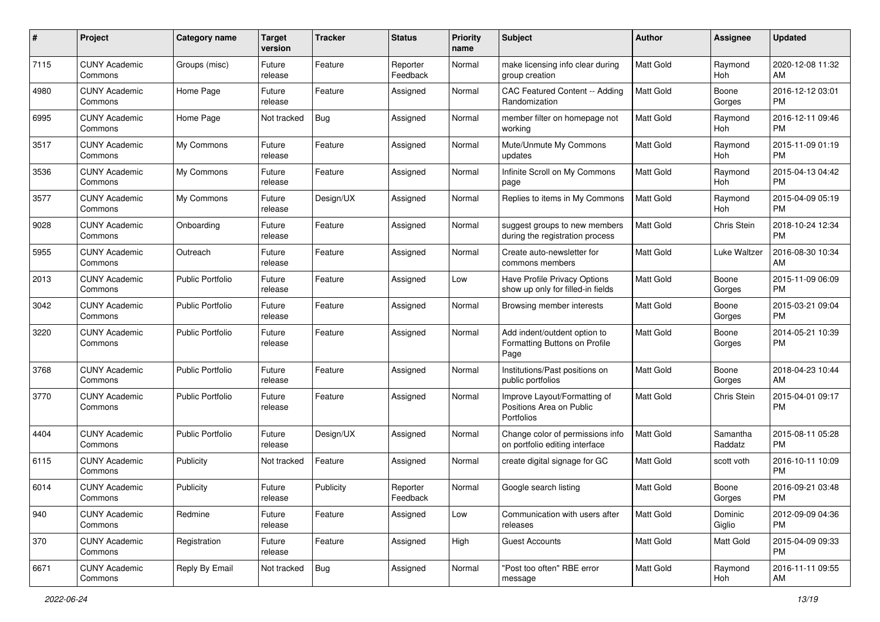| #    | Project                         | <b>Category name</b>    | <b>Target</b><br>version | <b>Tracker</b> | <b>Status</b>        | <b>Priority</b><br>name | Subject                                                                | Author           | <b>Assignee</b>     | <b>Updated</b>                |
|------|---------------------------------|-------------------------|--------------------------|----------------|----------------------|-------------------------|------------------------------------------------------------------------|------------------|---------------------|-------------------------------|
| 7115 | <b>CUNY Academic</b><br>Commons | Groups (misc)           | Future<br>release        | Feature        | Reporter<br>Feedback | Normal                  | make licensing info clear during<br>group creation                     | <b>Matt Gold</b> | Raymond<br>Hoh      | 2020-12-08 11:32<br>AM        |
| 4980 | <b>CUNY Academic</b><br>Commons | Home Page               | Future<br>release        | Feature        | Assigned             | Normal                  | CAC Featured Content -- Adding<br>Randomization                        | Matt Gold        | Boone<br>Gorges     | 2016-12-12 03:01<br>PM        |
| 6995 | <b>CUNY Academic</b><br>Commons | Home Page               | Not tracked              | <b>Bug</b>     | Assigned             | Normal                  | member filter on homepage not<br>working                               | <b>Matt Gold</b> | Raymond<br>Hoh      | 2016-12-11 09:46<br><b>PM</b> |
| 3517 | <b>CUNY Academic</b><br>Commons | My Commons              | Future<br>release        | Feature        | Assigned             | Normal                  | Mute/Unmute My Commons<br>updates                                      | <b>Matt Gold</b> | Raymond<br>Hoh      | 2015-11-09 01:19<br><b>PM</b> |
| 3536 | <b>CUNY Academic</b><br>Commons | My Commons              | Future<br>release        | Feature        | Assigned             | Normal                  | Infinite Scroll on My Commons<br>page                                  | Matt Gold        | Raymond<br>Hoh      | 2015-04-13 04:42<br><b>PM</b> |
| 3577 | <b>CUNY Academic</b><br>Commons | My Commons              | Future<br>release        | Design/UX      | Assigned             | Normal                  | Replies to items in My Commons                                         | Matt Gold        | Raymond<br>Hoh      | 2015-04-09 05:19<br>PM        |
| 9028 | <b>CUNY Academic</b><br>Commons | Onboarding              | Future<br>release        | Feature        | Assigned             | Normal                  | suggest groups to new members<br>during the registration process       | <b>Matt Gold</b> | Chris Stein         | 2018-10-24 12:34<br><b>PM</b> |
| 5955 | <b>CUNY Academic</b><br>Commons | Outreach                | Future<br>release        | Feature        | Assigned             | Normal                  | Create auto-newsletter for<br>commons members                          | <b>Matt Gold</b> | Luke Waltzer        | 2016-08-30 10:34<br>AM        |
| 2013 | <b>CUNY Academic</b><br>Commons | Public Portfolio        | Future<br>release        | Feature        | Assigned             | Low                     | Have Profile Privacy Options<br>show up only for filled-in fields      | Matt Gold        | Boone<br>Gorges     | 2015-11-09 06:09<br><b>PM</b> |
| 3042 | <b>CUNY Academic</b><br>Commons | <b>Public Portfolio</b> | Future<br>release        | Feature        | Assigned             | Normal                  | Browsing member interests                                              | <b>Matt Gold</b> | Boone<br>Gorges     | 2015-03-21 09:04<br><b>PM</b> |
| 3220 | <b>CUNY Academic</b><br>Commons | <b>Public Portfolio</b> | Future<br>release        | Feature        | Assigned             | Normal                  | Add indent/outdent option to<br>Formatting Buttons on Profile<br>Page  | <b>Matt Gold</b> | Boone<br>Gorges     | 2014-05-21 10:39<br>PM        |
| 3768 | <b>CUNY Academic</b><br>Commons | <b>Public Portfolio</b> | Future<br>release        | Feature        | Assigned             | Normal                  | Institutions/Past positions on<br>public portfolios                    | Matt Gold        | Boone<br>Gorges     | 2018-04-23 10:44<br>AM        |
| 3770 | <b>CUNY Academic</b><br>Commons | <b>Public Portfolio</b> | Future<br>release        | Feature        | Assigned             | Normal                  | Improve Layout/Formatting of<br>Positions Area on Public<br>Portfolios | <b>Matt Gold</b> | Chris Stein         | 2015-04-01 09:17<br><b>PM</b> |
| 4404 | <b>CUNY Academic</b><br>Commons | <b>Public Portfolio</b> | Future<br>release        | Design/UX      | Assigned             | Normal                  | Change color of permissions info<br>on portfolio editing interface     | <b>Matt Gold</b> | Samantha<br>Raddatz | 2015-08-11 05:28<br><b>PM</b> |
| 6115 | <b>CUNY Academic</b><br>Commons | Publicity               | Not tracked              | Feature        | Assigned             | Normal                  | create digital signage for GC                                          | Matt Gold        | scott voth          | 2016-10-11 10:09<br><b>PM</b> |
| 6014 | <b>CUNY Academic</b><br>Commons | Publicity               | Future<br>reiease        | Publicity      | Reporter<br>Feedback | Normal                  | Google search listing                                                  | Matt Gold        | Boone<br>Gorges     | 2016-09-21 03:48<br>PM        |
| 940  | <b>CUNY Academic</b><br>Commons | Redmine                 | Future<br>release        | Feature        | Assigned             | Low                     | Communication with users after<br>releases                             | Matt Gold        | Dominic<br>Giglio   | 2012-09-09 04:36<br>PM        |
| 370  | <b>CUNY Academic</b><br>Commons | Registration            | Future<br>release        | Feature        | Assigned             | High                    | <b>Guest Accounts</b>                                                  | Matt Gold        | Matt Gold           | 2015-04-09 09:33<br><b>PM</b> |
| 6671 | <b>CUNY Academic</b><br>Commons | Reply By Email          | Not tracked              | <b>Bug</b>     | Assigned             | Normal                  | "Post too often" RBE error<br>message                                  | Matt Gold        | Raymond<br>Hoh      | 2016-11-11 09:55<br>AM        |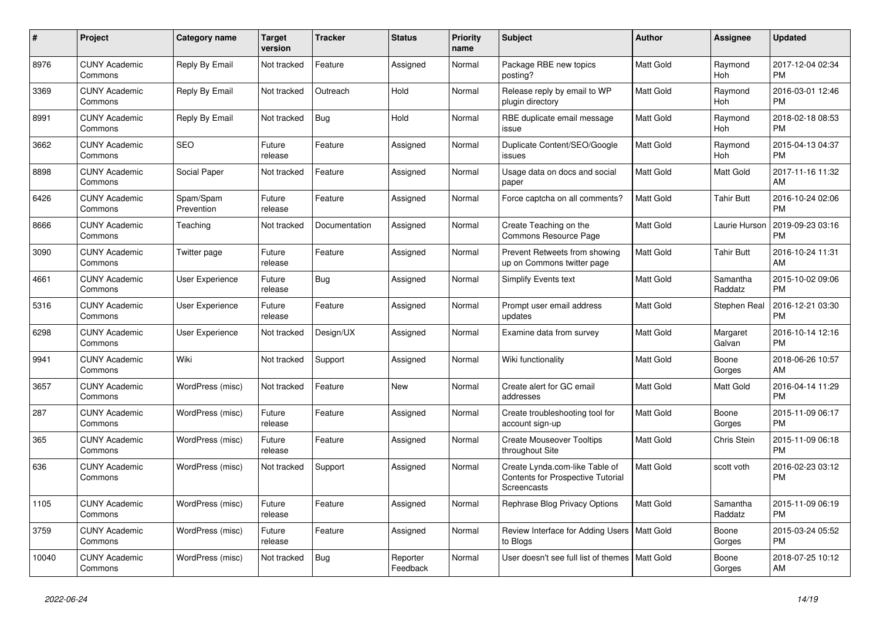| $\pmb{\#}$ | Project                         | Category name           | Target<br>version | <b>Tracker</b> | <b>Status</b>        | <b>Priority</b><br>name | <b>Subject</b>                                                                            | Author           | Assignee              | <b>Updated</b>                |
|------------|---------------------------------|-------------------------|-------------------|----------------|----------------------|-------------------------|-------------------------------------------------------------------------------------------|------------------|-----------------------|-------------------------------|
| 8976       | <b>CUNY Academic</b><br>Commons | Reply By Email          | Not tracked       | Feature        | Assigned             | Normal                  | Package RBE new topics<br>posting?                                                        | Matt Gold        | Raymond<br><b>Hoh</b> | 2017-12-04 02:34<br><b>PM</b> |
| 3369       | <b>CUNY Academic</b><br>Commons | Reply By Email          | Not tracked       | Outreach       | Hold                 | Normal                  | Release reply by email to WP<br>plugin directory                                          | Matt Gold        | Raymond<br>Hoh        | 2016-03-01 12:46<br>РM        |
| 8991       | <b>CUNY Academic</b><br>Commons | Reply By Email          | Not tracked       | Bug            | Hold                 | Normal                  | RBE duplicate email message<br>issue                                                      | Matt Gold        | Raymond<br><b>Hoh</b> | 2018-02-18 08:53<br>PM        |
| 3662       | <b>CUNY Academic</b><br>Commons | <b>SEO</b>              | Future<br>release | Feature        | Assigned             | Normal                  | Duplicate Content/SEO/Google<br>issues                                                    | <b>Matt Gold</b> | Raymond<br><b>Hoh</b> | 2015-04-13 04:37<br><b>PM</b> |
| 8898       | <b>CUNY Academic</b><br>Commons | Social Paper            | Not tracked       | Feature        | Assigned             | Normal                  | Usage data on docs and social<br>paper                                                    | Matt Gold        | Matt Gold             | 2017-11-16 11:32<br>AM        |
| 6426       | <b>CUNY Academic</b><br>Commons | Spam/Spam<br>Prevention | Future<br>release | Feature        | Assigned             | Normal                  | Force captcha on all comments?                                                            | Matt Gold        | <b>Tahir Butt</b>     | 2016-10-24 02:06<br>PM        |
| 8666       | <b>CUNY Academic</b><br>Commons | Teaching                | Not tracked       | Documentation  | Assigned             | Normal                  | Create Teaching on the<br>Commons Resource Page                                           | Matt Gold        | Laurie Hurson         | 2019-09-23 03:16<br><b>PM</b> |
| 3090       | <b>CUNY Academic</b><br>Commons | Twitter page            | Future<br>release | Feature        | Assigned             | Normal                  | Prevent Retweets from showing<br>up on Commons twitter page                               | Matt Gold        | <b>Tahir Butt</b>     | 2016-10-24 11:31<br>AM        |
| 4661       | <b>CUNY Academic</b><br>Commons | User Experience         | Future<br>release | Bug            | Assigned             | Normal                  | <b>Simplify Events text</b>                                                               | Matt Gold        | Samantha<br>Raddatz   | 2015-10-02 09:06<br>PM        |
| 5316       | <b>CUNY Academic</b><br>Commons | <b>User Experience</b>  | Future<br>release | Feature        | Assigned             | Normal                  | Prompt user email address<br>updates                                                      | Matt Gold        | Stephen Real          | 2016-12-21 03:30<br><b>PM</b> |
| 6298       | <b>CUNY Academic</b><br>Commons | User Experience         | Not tracked       | Design/UX      | Assigned             | Normal                  | Examine data from survey                                                                  | Matt Gold        | Margaret<br>Galvan    | 2016-10-14 12:16<br>PM        |
| 9941       | <b>CUNY Academic</b><br>Commons | Wiki                    | Not tracked       | Support        | Assigned             | Normal                  | Wiki functionality                                                                        | Matt Gold        | Boone<br>Gorges       | 2018-06-26 10:57<br>AM        |
| 3657       | <b>CUNY Academic</b><br>Commons | WordPress (misc)        | Not tracked       | Feature        | <b>New</b>           | Normal                  | Create alert for GC email<br>addresses                                                    | Matt Gold        | Matt Gold             | 2016-04-14 11:29<br><b>PM</b> |
| 287        | <b>CUNY Academic</b><br>Commons | WordPress (misc)        | Future<br>release | Feature        | Assigned             | Normal                  | Create troubleshooting tool for<br>account sign-up                                        | Matt Gold        | Boone<br>Gorges       | 2015-11-09 06:17<br><b>PM</b> |
| 365        | <b>CUNY Academic</b><br>Commons | WordPress (misc)        | Future<br>release | Feature        | Assigned             | Normal                  | <b>Create Mouseover Tooltips</b><br>throughout Site                                       | Matt Gold        | Chris Stein           | 2015-11-09 06:18<br>PM        |
| 636        | <b>CUNY Academic</b><br>Commons | WordPress (misc)        | Not tracked       | Support        | Assigned             | Normal                  | Create Lynda.com-like Table of<br><b>Contents for Prospective Tutorial</b><br>Screencasts | <b>Matt Gold</b> | scott voth            | 2016-02-23 03:12<br><b>PM</b> |
| 1105       | <b>CUNY Academic</b><br>Commons | WordPress (misc)        | Future<br>release | Feature        | Assigned             | Normal                  | Rephrase Blog Privacy Options                                                             | Matt Gold        | Samantha<br>Raddatz   | 2015-11-09 06:19<br><b>PM</b> |
| 3759       | <b>CUNY Academic</b><br>Commons | WordPress (misc)        | Future<br>release | Feature        | Assigned             | Normal                  | Review Interface for Adding Users   Matt Gold<br>to Blogs                                 |                  | Boone<br>Gorges       | 2015-03-24 05:52<br><b>PM</b> |
| 10040      | <b>CUNY Academic</b><br>Commons | WordPress (misc)        | Not tracked       | <b>Bug</b>     | Reporter<br>Feedback | Normal                  | User doesn't see full list of themes                                                      | <b>Matt Gold</b> | Boone<br>Gorges       | 2018-07-25 10:12<br>AM        |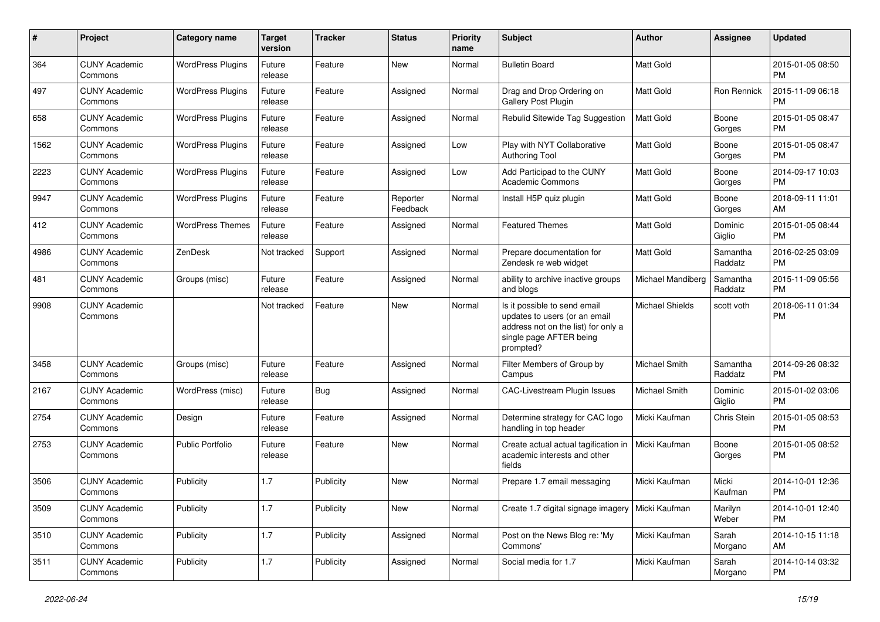| #    | Project                         | <b>Category name</b>     | <b>Target</b><br>version | <b>Tracker</b> | <b>Status</b>        | <b>Priority</b><br>name | Subject                                                                                                                                      | Author                 | <b>Assignee</b>     | <b>Updated</b>                |
|------|---------------------------------|--------------------------|--------------------------|----------------|----------------------|-------------------------|----------------------------------------------------------------------------------------------------------------------------------------------|------------------------|---------------------|-------------------------------|
| 364  | <b>CUNY Academic</b><br>Commons | <b>WordPress Plugins</b> | Future<br>release        | Feature        | New                  | Normal                  | <b>Bulletin Board</b>                                                                                                                        | <b>Matt Gold</b>       |                     | 2015-01-05 08:50<br><b>PM</b> |
| 497  | <b>CUNY Academic</b><br>Commons | <b>WordPress Plugins</b> | Future<br>release        | Feature        | Assigned             | Normal                  | Drag and Drop Ordering on<br>Gallery Post Plugin                                                                                             | <b>Matt Gold</b>       | <b>Ron Rennick</b>  | 2015-11-09 06:18<br><b>PM</b> |
| 658  | <b>CUNY Academic</b><br>Commons | <b>WordPress Plugins</b> | Future<br>release        | Feature        | Assigned             | Normal                  | Rebulid Sitewide Tag Suggestion                                                                                                              | <b>Matt Gold</b>       | Boone<br>Gorges     | 2015-01-05 08:47<br><b>PM</b> |
| 1562 | <b>CUNY Academic</b><br>Commons | <b>WordPress Plugins</b> | Future<br>release        | Feature        | Assigned             | Low                     | Play with NYT Collaborative<br><b>Authoring Tool</b>                                                                                         | <b>Matt Gold</b>       | Boone<br>Gorges     | 2015-01-05 08:47<br><b>PM</b> |
| 2223 | <b>CUNY Academic</b><br>Commons | <b>WordPress Plugins</b> | Future<br>release        | Feature        | Assigned             | Low                     | Add Participad to the CUNY<br><b>Academic Commons</b>                                                                                        | <b>Matt Gold</b>       | Boone<br>Gorges     | 2014-09-17 10:03<br><b>PM</b> |
| 9947 | <b>CUNY Academic</b><br>Commons | <b>WordPress Plugins</b> | Future<br>release        | Feature        | Reporter<br>Feedback | Normal                  | Install H5P quiz plugin                                                                                                                      | <b>Matt Gold</b>       | Boone<br>Gorges     | 2018-09-11 11:01<br>AM        |
| 412  | <b>CUNY Academic</b><br>Commons | <b>WordPress Themes</b>  | Future<br>release        | Feature        | Assigned             | Normal                  | <b>Featured Themes</b>                                                                                                                       | Matt Gold              | Dominic<br>Giglio   | 2015-01-05 08:44<br><b>PM</b> |
| 4986 | <b>CUNY Academic</b><br>Commons | ZenDesk                  | Not tracked              | Support        | Assigned             | Normal                  | Prepare documentation for<br>Zendesk re web widget                                                                                           | <b>Matt Gold</b>       | Samantha<br>Raddatz | 2016-02-25 03:09<br><b>PM</b> |
| 481  | <b>CUNY Academic</b><br>Commons | Groups (misc)            | Future<br>release        | Feature        | Assigned             | Normal                  | ability to archive inactive groups<br>and blogs                                                                                              | Michael Mandiberg      | Samantha<br>Raddatz | 2015-11-09 05:56<br><b>PM</b> |
| 9908 | <b>CUNY Academic</b><br>Commons |                          | Not tracked              | Feature        | New                  | Normal                  | Is it possible to send email<br>updates to users (or an email<br>address not on the list) for only a<br>single page AFTER being<br>prompted? | <b>Michael Shields</b> | scott voth          | 2018-06-11 01:34<br><b>PM</b> |
| 3458 | <b>CUNY Academic</b><br>Commons | Groups (misc)            | Future<br>release        | Feature        | Assigned             | Normal                  | Filter Members of Group by<br>Campus                                                                                                         | Michael Smith          | Samantha<br>Raddatz | 2014-09-26 08:32<br><b>PM</b> |
| 2167 | <b>CUNY Academic</b><br>Commons | WordPress (misc)         | Future<br>release        | <b>Bug</b>     | Assigned             | Normal                  | CAC-Livestream Plugin Issues                                                                                                                 | Michael Smith          | Dominic<br>Giglio   | 2015-01-02 03:06<br><b>PM</b> |
| 2754 | <b>CUNY Academic</b><br>Commons | Design                   | Future<br>release        | Feature        | Assigned             | Normal                  | Determine strategy for CAC logo<br>handling in top header                                                                                    | Micki Kaufman          | Chris Stein         | 2015-01-05 08:53<br><b>PM</b> |
| 2753 | <b>CUNY Academic</b><br>Commons | <b>Public Portfolio</b>  | Future<br>release        | Feature        | <b>New</b>           | Normal                  | Create actual actual tagification in<br>academic interests and other<br>fields                                                               | Micki Kaufman          | Boone<br>Gorges     | 2015-01-05 08:52<br><b>PM</b> |
| 3506 | <b>CUNY Academic</b><br>Commons | Publicity                | 1.7                      | Publicity      | <b>New</b>           | Normal                  | Prepare 1.7 email messaging                                                                                                                  | Micki Kaufman          | Micki<br>Kaufman    | 2014-10-01 12:36<br><b>PM</b> |
| 3509 | <b>CUNY Academic</b><br>Commons | Publicity                | 1.7                      | Publicity      | New                  | Normal                  | Create 1.7 digital signage imagery                                                                                                           | Micki Kaufman          | Marilyn<br>Weber    | 2014-10-01 12:40<br><b>PM</b> |
| 3510 | <b>CUNY Academic</b><br>Commons | Publicity                | 1.7                      | Publicity      | Assigned             | Normal                  | Post on the News Blog re: 'My<br>Commons'                                                                                                    | Micki Kaufman          | Sarah<br>Morgano    | 2014-10-15 11:18<br>AM        |
| 3511 | <b>CUNY Academic</b><br>Commons | Publicity                | 1.7                      | Publicity      | Assigned             | Normal                  | Social media for 1.7                                                                                                                         | Micki Kaufman          | Sarah<br>Morgano    | 2014-10-14 03:32<br>PM        |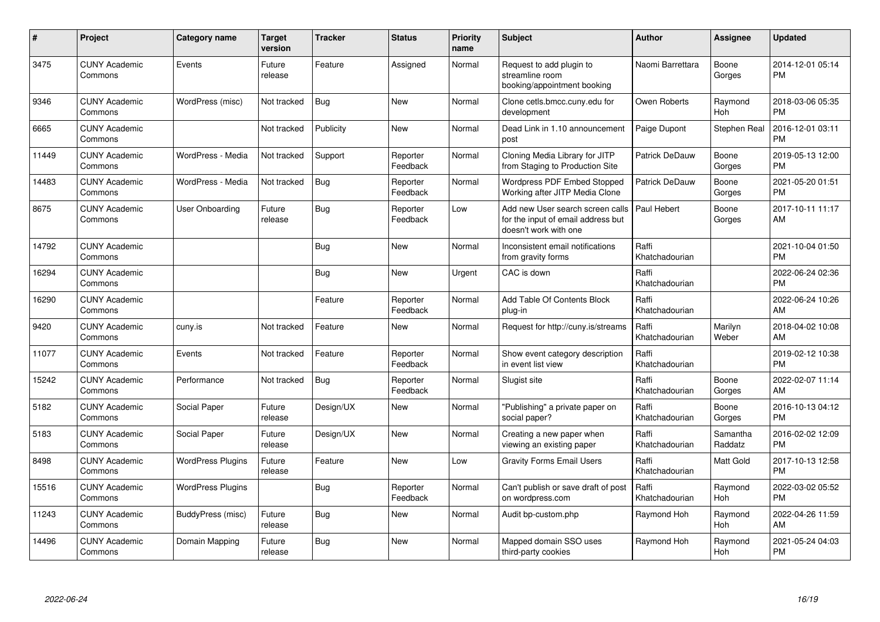| #     | Project                         | <b>Category name</b>     | <b>Target</b><br>version | <b>Tracker</b> | <b>Status</b>        | <b>Priority</b><br>name | <b>Subject</b>                                                                                  | <b>Author</b>           | <b>Assignee</b>       | <b>Updated</b>                |
|-------|---------------------------------|--------------------------|--------------------------|----------------|----------------------|-------------------------|-------------------------------------------------------------------------------------------------|-------------------------|-----------------------|-------------------------------|
| 3475  | <b>CUNY Academic</b><br>Commons | Events                   | Future<br>release        | Feature        | Assigned             | Normal                  | Request to add plugin to<br>streamline room<br>booking/appointment booking                      | Naomi Barrettara        | Boone<br>Gorges       | 2014-12-01 05:14<br><b>PM</b> |
| 9346  | <b>CUNY Academic</b><br>Commons | WordPress (misc)         | Not tracked              | Bug            | <b>New</b>           | Normal                  | Clone cetls.bmcc.cuny.edu for<br>development                                                    | Owen Roberts            | Raymond<br><b>Hoh</b> | 2018-03-06 05:35<br><b>PM</b> |
| 6665  | <b>CUNY Academic</b><br>Commons |                          | Not tracked              | Publicity      | New                  | Normal                  | Dead Link in 1.10 announcement<br>post                                                          | Paige Dupont            | Stephen Real          | 2016-12-01 03:11<br><b>PM</b> |
| 11449 | <b>CUNY Academic</b><br>Commons | WordPress - Media        | Not tracked              | Support        | Reporter<br>Feedback | Normal                  | Cloning Media Library for JITP<br>from Staging to Production Site                               | Patrick DeDauw          | Boone<br>Gorges       | 2019-05-13 12:00<br><b>PM</b> |
| 14483 | <b>CUNY Academic</b><br>Commons | WordPress - Media        | Not tracked              | Bug            | Reporter<br>Feedback | Normal                  | <b>Wordpress PDF Embed Stopped</b><br>Working after JITP Media Clone                            | Patrick DeDauw          | Boone<br>Gorges       | 2021-05-20 01:51<br><b>PM</b> |
| 8675  | <b>CUNY Academic</b><br>Commons | User Onboarding          | Future<br>release        | Bug            | Reporter<br>Feedback | Low                     | Add new User search screen calls<br>for the input of email address but<br>doesn't work with one | Paul Hebert             | Boone<br>Gorges       | 2017-10-11 11:17<br>AM        |
| 14792 | <b>CUNY Academic</b><br>Commons |                          |                          | <b>Bug</b>     | <b>New</b>           | Normal                  | Inconsistent email notifications<br>from gravity forms                                          | Raffi<br>Khatchadourian |                       | 2021-10-04 01:50<br><b>PM</b> |
| 16294 | <b>CUNY Academic</b><br>Commons |                          |                          | <b>Bug</b>     | <b>New</b>           | Urgent                  | CAC is down                                                                                     | Raffi<br>Khatchadourian |                       | 2022-06-24 02:36<br><b>PM</b> |
| 16290 | <b>CUNY Academic</b><br>Commons |                          |                          | Feature        | Reporter<br>Feedback | Normal                  | Add Table Of Contents Block<br>plug-in                                                          | Raffi<br>Khatchadourian |                       | 2022-06-24 10:26<br>AM        |
| 9420  | <b>CUNY Academic</b><br>Commons | cuny.is                  | Not tracked              | Feature        | <b>New</b>           | Normal                  | Request for http://cuny.is/streams                                                              | Raffi<br>Khatchadourian | Marilyn<br>Weber      | 2018-04-02 10:08<br>AM        |
| 11077 | <b>CUNY Academic</b><br>Commons | Events                   | Not tracked              | Feature        | Reporter<br>Feedback | Normal                  | Show event category description<br>in event list view                                           | Raffi<br>Khatchadourian |                       | 2019-02-12 10:38<br><b>PM</b> |
| 15242 | <b>CUNY Academic</b><br>Commons | Performance              | Not tracked              | Bug            | Reporter<br>Feedback | Normal                  | Slugist site                                                                                    | Raffi<br>Khatchadourian | Boone<br>Gorges       | 2022-02-07 11:14<br>AM        |
| 5182  | <b>CUNY Academic</b><br>Commons | Social Paper             | Future<br>release        | Design/UX      | <b>New</b>           | Normal                  | "Publishing" a private paper on<br>social paper?                                                | Raffi<br>Khatchadourian | Boone<br>Gorges       | 2016-10-13 04:12<br><b>PM</b> |
| 5183  | <b>CUNY Academic</b><br>Commons | Social Paper             | Future<br>release        | Design/UX      | <b>New</b>           | Normal                  | Creating a new paper when<br>viewing an existing paper                                          | Raffi<br>Khatchadourian | Samantha<br>Raddatz   | 2016-02-02 12:09<br><b>PM</b> |
| 8498  | <b>CUNY Academic</b><br>Commons | <b>WordPress Plugins</b> | Future<br>release        | Feature        | <b>New</b>           | Low                     | <b>Gravity Forms Email Users</b>                                                                | Raffi<br>Khatchadourian | Matt Gold             | 2017-10-13 12:58<br><b>PM</b> |
| 15516 | <b>CUNY Academic</b><br>Commons | <b>WordPress Plugins</b> |                          | <b>Bug</b>     | Reporter<br>Feedback | Normal                  | Can't publish or save draft of post<br>on wordpress.com                                         | Raffi<br>Khatchadourian | Raymond<br>Hoh        | 2022-03-02 05:52<br><b>PM</b> |
| 11243 | <b>CUNY Academic</b><br>Commons | BuddyPress (misc)        | Future<br>release        | <b>Bug</b>     | <b>New</b>           | Normal                  | Audit bp-custom.php                                                                             | Raymond Hoh             | Raymond<br><b>Hoh</b> | 2022-04-26 11:59<br>AM        |
| 14496 | <b>CUNY Academic</b><br>Commons | Domain Mapping           | Future<br>release        | <b>Bug</b>     | <b>New</b>           | Normal                  | Mapped domain SSO uses<br>third-party cookies                                                   | Raymond Hoh             | Raymond<br>Hoh        | 2021-05-24 04:03<br>PM        |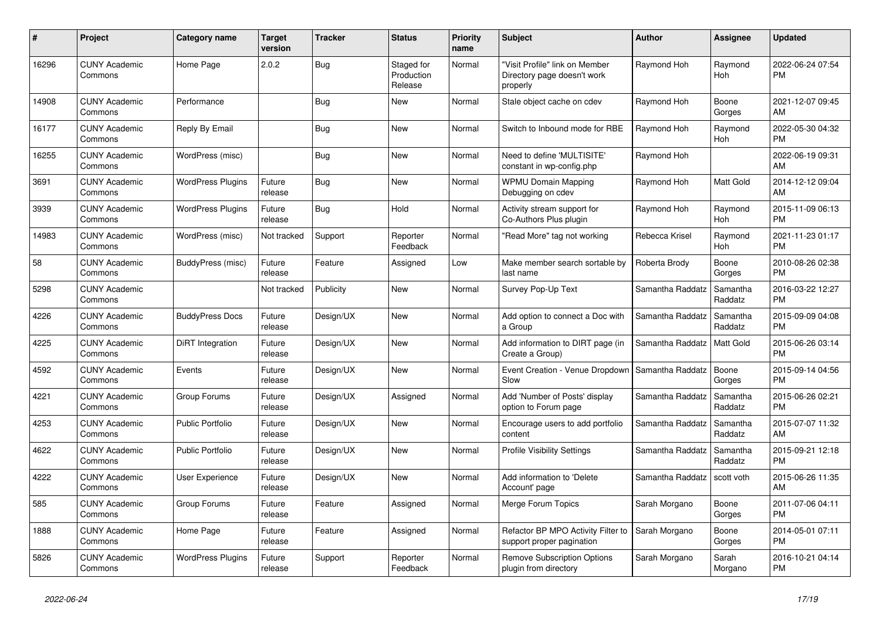| $\#$  | Project                         | <b>Category name</b>     | <b>Target</b><br>version | <b>Tracker</b> | <b>Status</b>                       | <b>Priority</b><br>name | <b>Subject</b>                                                            | <b>Author</b>    | <b>Assignee</b>       | <b>Updated</b>                |
|-------|---------------------------------|--------------------------|--------------------------|----------------|-------------------------------------|-------------------------|---------------------------------------------------------------------------|------------------|-----------------------|-------------------------------|
| 16296 | <b>CUNY Academic</b><br>Commons | Home Page                | 2.0.2                    | <b>Bug</b>     | Staged for<br>Production<br>Release | Normal                  | "Visit Profile" link on Member<br>Directory page doesn't work<br>properly | Raymond Hoh      | Raymond<br><b>Hoh</b> | 2022-06-24 07:54<br><b>PM</b> |
| 14908 | <b>CUNY Academic</b><br>Commons | Performance              |                          | Bug            | <b>New</b>                          | Normal                  | Stale object cache on cdev                                                | Raymond Hoh      | Boone<br>Gorges       | 2021-12-07 09:45<br>AM        |
| 16177 | <b>CUNY Academic</b><br>Commons | Reply By Email           |                          | <b>Bug</b>     | <b>New</b>                          | Normal                  | Switch to Inbound mode for RBE                                            | Raymond Hoh      | Raymond<br>Hoh        | 2022-05-30 04:32<br><b>PM</b> |
| 16255 | <b>CUNY Academic</b><br>Commons | WordPress (misc)         |                          | Bug            | New                                 | Normal                  | Need to define 'MULTISITE'<br>constant in wp-config.php                   | Raymond Hoh      |                       | 2022-06-19 09:31<br>AM        |
| 3691  | <b>CUNY Academic</b><br>Commons | <b>WordPress Plugins</b> | Future<br>release        | <b>Bug</b>     | <b>New</b>                          | Normal                  | <b>WPMU Domain Mapping</b><br>Debugging on cdev                           | Raymond Hoh      | Matt Gold             | 2014-12-12 09:04<br>AM        |
| 3939  | <b>CUNY Academic</b><br>Commons | <b>WordPress Plugins</b> | Future<br>release        | Bug            | Hold                                | Normal                  | Activity stream support for<br>Co-Authors Plus plugin                     | Raymond Hoh      | Raymond<br>Hoh        | 2015-11-09 06:13<br><b>PM</b> |
| 14983 | <b>CUNY Academic</b><br>Commons | WordPress (misc)         | Not tracked              | Support        | Reporter<br>Feedback                | Normal                  | 'Read More" tag not working                                               | Rebecca Krisel   | Raymond<br>Hoh        | 2021-11-23 01:17<br><b>PM</b> |
| 58    | <b>CUNY Academic</b><br>Commons | BuddyPress (misc)        | Future<br>release        | Feature        | Assigned                            | Low                     | Make member search sortable by<br>last name                               | Roberta Brody    | Boone<br>Gorges       | 2010-08-26 02:38<br><b>PM</b> |
| 5298  | <b>CUNY Academic</b><br>Commons |                          | Not tracked              | Publicity      | <b>New</b>                          | Normal                  | Survey Pop-Up Text                                                        | Samantha Raddatz | Samantha<br>Raddatz   | 2016-03-22 12:27<br><b>PM</b> |
| 4226  | <b>CUNY Academic</b><br>Commons | <b>BuddyPress Docs</b>   | Future<br>release        | Design/UX      | <b>New</b>                          | Normal                  | Add option to connect a Doc with<br>a Group                               | Samantha Raddatz | Samantha<br>Raddatz   | 2015-09-09 04:08<br><b>PM</b> |
| 4225  | <b>CUNY Academic</b><br>Commons | DiRT Integration         | Future<br>release        | Design/UX      | New                                 | Normal                  | Add information to DIRT page (in<br>Create a Group)                       | Samantha Raddatz | <b>Matt Gold</b>      | 2015-06-26 03:14<br><b>PM</b> |
| 4592  | <b>CUNY Academic</b><br>Commons | Events                   | Future<br>release        | Design/UX      | <b>New</b>                          | Normal                  | Event Creation - Venue Dropdown<br>Slow                                   | Samantha Raddatz | Boone<br>Gorges       | 2015-09-14 04:56<br><b>PM</b> |
| 4221  | <b>CUNY Academic</b><br>Commons | Group Forums             | Future<br>release        | Design/UX      | Assigned                            | Normal                  | Add 'Number of Posts' display<br>option to Forum page                     | Samantha Raddatz | Samantha<br>Raddatz   | 2015-06-26 02:21<br><b>PM</b> |
| 4253  | <b>CUNY Academic</b><br>Commons | <b>Public Portfolio</b>  | Future<br>release        | Design/UX      | <b>New</b>                          | Normal                  | Encourage users to add portfolio<br>content                               | Samantha Raddatz | Samantha<br>Raddatz   | 2015-07-07 11:32<br>AM        |
| 4622  | <b>CUNY Academic</b><br>Commons | <b>Public Portfolio</b>  | Future<br>release        | Design/UX      | <b>New</b>                          | Normal                  | <b>Profile Visibility Settings</b>                                        | Samantha Raddatz | Samantha<br>Raddatz   | 2015-09-21 12:18<br><b>PM</b> |
| 4222  | <b>CUNY Academic</b><br>Commons | <b>User Experience</b>   | Future<br>release        | Design/UX      | <b>New</b>                          | Normal                  | Add information to 'Delete<br>Account' page                               | Samantha Raddatz | scott voth            | 2015-06-26 11:35<br>AM        |
| 585   | <b>CUNY Academic</b><br>Commons | Group Forums             | Future<br>release        | Feature        | Assigned                            | Normal                  | Merge Forum Topics                                                        | Sarah Morgano    | Boone<br>Gorges       | 2011-07-06 04:11<br><b>PM</b> |
| 1888  | <b>CUNY Academic</b><br>Commons | Home Page                | Future<br>release        | Feature        | Assigned                            | Normal                  | Refactor BP MPO Activity Filter to<br>support proper pagination           | Sarah Morgano    | Boone<br>Gorges       | 2014-05-01 07:11<br><b>PM</b> |
| 5826  | <b>CUNY Academic</b><br>Commons | <b>WordPress Plugins</b> | Future<br>release        | Support        | Reporter<br>Feedback                | Normal                  | Remove Subscription Options<br>plugin from directory                      | Sarah Morgano    | Sarah<br>Morgano      | 2016-10-21 04:14<br><b>PM</b> |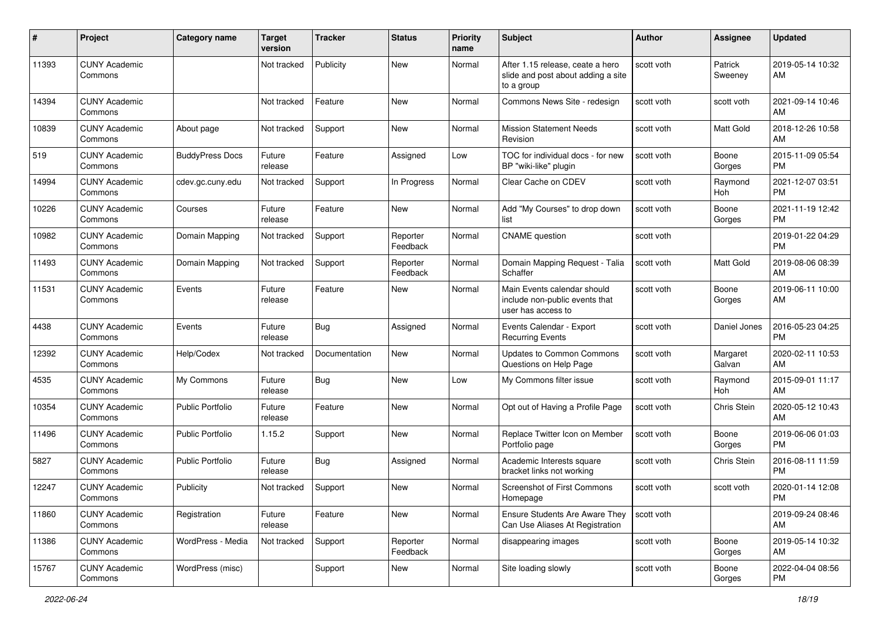| #     | Project                         | <b>Category name</b>    | <b>Target</b><br>version | <b>Tracker</b> | <b>Status</b>        | <b>Priority</b><br>name | <b>Subject</b>                                                                       | <b>Author</b> | <b>Assignee</b>    | <b>Updated</b>                |
|-------|---------------------------------|-------------------------|--------------------------|----------------|----------------------|-------------------------|--------------------------------------------------------------------------------------|---------------|--------------------|-------------------------------|
| 11393 | <b>CUNY Academic</b><br>Commons |                         | Not tracked              | Publicity      | New                  | Normal                  | After 1.15 release, ceate a hero<br>slide and post about adding a site<br>to a group | scott voth    | Patrick<br>Sweeney | 2019-05-14 10:32<br>AM        |
| 14394 | <b>CUNY Academic</b><br>Commons |                         | Not tracked              | Feature        | <b>New</b>           | Normal                  | Commons News Site - redesign                                                         | scott voth    | scott voth         | 2021-09-14 10:46<br>AM        |
| 10839 | <b>CUNY Academic</b><br>Commons | About page              | Not tracked              | Support        | New                  | Normal                  | <b>Mission Statement Needs</b><br>Revision                                           | scott voth    | Matt Gold          | 2018-12-26 10:58<br>AM        |
| 519   | <b>CUNY Academic</b><br>Commons | <b>BuddyPress Docs</b>  | Future<br>release        | Feature        | Assigned             | Low                     | TOC for individual docs - for new<br>BP "wiki-like" plugin                           | scott voth    | Boone<br>Gorges    | 2015-11-09 05:54<br><b>PM</b> |
| 14994 | <b>CUNY Academic</b><br>Commons | cdev.gc.cuny.edu        | Not tracked              | Support        | In Progress          | Normal                  | Clear Cache on CDEV                                                                  | scott voth    | Raymond<br>Hoh     | 2021-12-07 03:51<br><b>PM</b> |
| 10226 | <b>CUNY Academic</b><br>Commons | Courses                 | Future<br>release        | Feature        | New                  | Normal                  | Add "My Courses" to drop down<br>list                                                | scott voth    | Boone<br>Gorges    | 2021-11-19 12:42<br><b>PM</b> |
| 10982 | <b>CUNY Academic</b><br>Commons | Domain Mapping          | Not tracked              | Support        | Reporter<br>Feedback | Normal                  | <b>CNAME</b> question                                                                | scott voth    |                    | 2019-01-22 04:29<br><b>PM</b> |
| 11493 | <b>CUNY Academic</b><br>Commons | Domain Mapping          | Not tracked              | Support        | Reporter<br>Feedback | Normal                  | Domain Mapping Request - Talia<br>Schaffer                                           | scott voth    | <b>Matt Gold</b>   | 2019-08-06 08:39<br>AM        |
| 11531 | <b>CUNY Academic</b><br>Commons | Events                  | Future<br>release        | Feature        | New                  | Normal                  | Main Events calendar should<br>include non-public events that<br>user has access to  | scott voth    | Boone<br>Gorges    | 2019-06-11 10:00<br>AM        |
| 4438  | <b>CUNY Academic</b><br>Commons | Events                  | Future<br>release        | <b>Bug</b>     | Assigned             | Normal                  | Events Calendar - Export<br><b>Recurring Events</b>                                  | scott voth    | Daniel Jones       | 2016-05-23 04:25<br><b>PM</b> |
| 12392 | <b>CUNY Academic</b><br>Commons | Help/Codex              | Not tracked              | Documentation  | New                  | Normal                  | <b>Updates to Common Commons</b><br>Questions on Help Page                           | scott voth    | Margaret<br>Galvan | 2020-02-11 10:53<br>AM        |
| 4535  | <b>CUNY Academic</b><br>Commons | My Commons              | Future<br>release        | <b>Bug</b>     | New                  | Low                     | My Commons filter issue                                                              | scott voth    | Raymond<br>Hoh     | 2015-09-01 11:17<br>AM        |
| 10354 | <b>CUNY Academic</b><br>Commons | <b>Public Portfolio</b> | Future<br>release        | Feature        | <b>New</b>           | Normal                  | Opt out of Having a Profile Page                                                     | scott voth    | Chris Stein        | 2020-05-12 10:43<br>AM        |
| 11496 | <b>CUNY Academic</b><br>Commons | <b>Public Portfolio</b> | 1.15.2                   | Support        | <b>New</b>           | Normal                  | Replace Twitter Icon on Member<br>Portfolio page                                     | scott voth    | Boone<br>Gorges    | 2019-06-06 01:03<br><b>PM</b> |
| 5827  | <b>CUNY Academic</b><br>Commons | <b>Public Portfolio</b> | Future<br>release        | <b>Bug</b>     | Assigned             | Normal                  | Academic Interests square<br>bracket links not working                               | scott voth    | Chris Stein        | 2016-08-11 11:59<br><b>PM</b> |
| 12247 | <b>CUNY Academic</b><br>Commons | Publicity               | Not tracked              | Support        | New                  | Normal                  | Screenshot of First Commons<br>Homepage                                              | scott voth    | scott voth         | 2020-01-14 12:08<br>PM        |
| 11860 | <b>CUNY Academic</b><br>Commons | Registration            | Future<br>release        | Feature        | New                  | Normal                  | <b>Ensure Students Are Aware They</b><br>Can Use Aliases At Registration             | scott voth    |                    | 2019-09-24 08:46<br>AM        |
| 11386 | <b>CUNY Academic</b><br>Commons | WordPress - Media       | Not tracked              | Support        | Reporter<br>Feedback | Normal                  | disappearing images                                                                  | scott voth    | Boone<br>Gorges    | 2019-05-14 10:32<br>AM        |
| 15767 | <b>CUNY Academic</b><br>Commons | WordPress (misc)        |                          | Support        | New                  | Normal                  | Site loading slowly                                                                  | scott voth    | Boone<br>Gorges    | 2022-04-04 08:56<br><b>PM</b> |